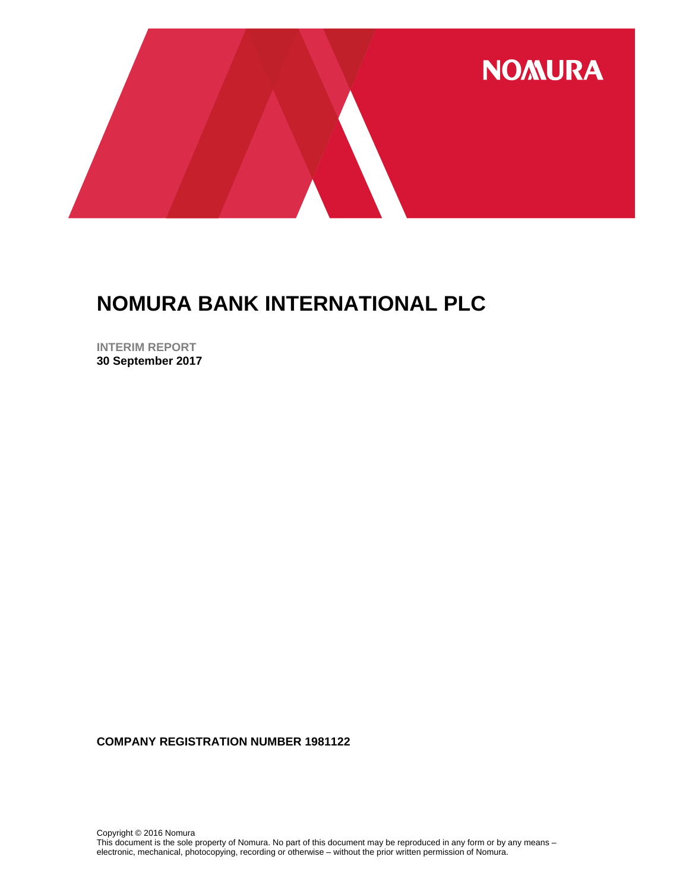

**INTERIM REPORT 30 September 2017**

**COMPANY REGISTRATION NUMBER 1981122**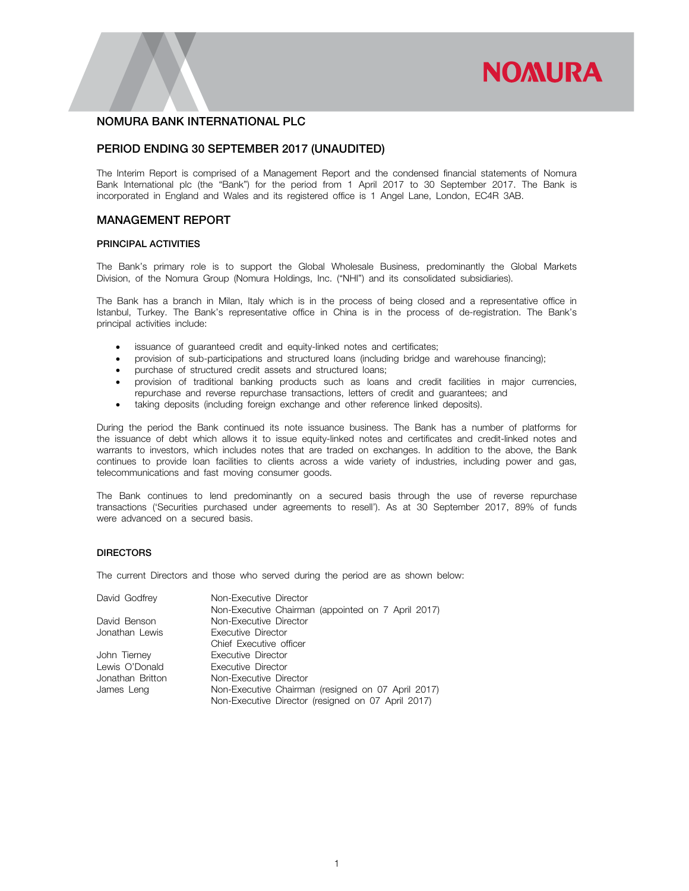# **NOMURA**

## NOMURA BANK INTERNATIONAL PLC

## PERIOD ENDING 30 SEPTEMBER 2017 (UNAUDITED)

The Interim Report is comprised of a Management Report and the condensed financial statements of Nomura Bank International plc (the "Bank") for the period from 1 April 2017 to 30 September 2017. The Bank is incorporated in England and Wales and its registered office is 1 Angel Lane, London, EC4R 3AB.

## MANAGEMENT REPORT

#### PRINCIPAL ACTIVITIES

The Bank's primary role is to support the Global Wholesale Business, predominantly the Global Markets Division, of the Nomura Group (Nomura Holdings, Inc. ("NHI") and its consolidated subsidiaries).

The Bank has a branch in Milan, Italy which is in the process of being closed and a representative office in Istanbul, Turkey. The Bank's representative office in China is in the process of de-registration. The Bank's principal activities include:

- issuance of guaranteed credit and equity-linked notes and certificates;
- provision of sub-participations and structured loans (including bridge and warehouse financing);
- purchase of structured credit assets and structured loans;
- provision of traditional banking products such as loans and credit facilities in major currencies, repurchase and reverse repurchase transactions, letters of credit and guarantees; and
- taking deposits (including foreign exchange and other reference linked deposits).

During the period the Bank continued its note issuance business. The Bank has a number of platforms for the issuance of debt which allows it to issue equity-linked notes and certificates and credit-linked notes and warrants to investors, which includes notes that are traded on exchanges. In addition to the above, the Bank continues to provide loan facilities to clients across a wide variety of industries, including power and gas, telecommunications and fast moving consumer goods.

The Bank continues to lend predominantly on a secured basis through the use of reverse repurchase transactions ('Securities purchased under agreements to resell'). As at 30 September 2017, 89% of funds were advanced on a secured basis.

#### DIRECTORS

The current Directors and those who served during the period are as shown below:

| David Godfrey    | Non-Executive Director                             |
|------------------|----------------------------------------------------|
|                  | Non-Executive Chairman (appointed on 7 April 2017) |
| David Benson     | Non-Executive Director                             |
| Jonathan Lewis   | Executive Director                                 |
|                  | Chief Executive officer                            |
| John Tierney     | Executive Director                                 |
| Lewis O'Donald   | Executive Director                                 |
| Jonathan Britton | Non-Executive Director                             |
| James Leng       | Non-Executive Chairman (resigned on 07 April 2017) |
|                  | Non-Executive Director (resigned on 07 April 2017) |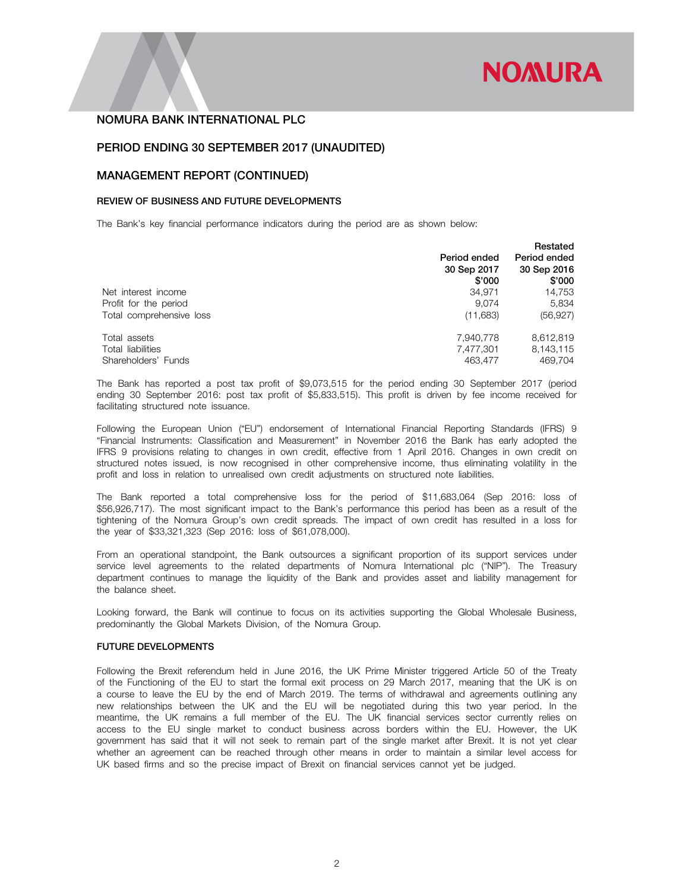

## PERIOD ENDING 30 SEPTEMBER 2017 (UNAUDITED)

#### MANAGEMENT REPORT (CONTINUED)

#### REVIEW OF BUSINESS AND FUTURE DEVELOPMENTS

The Bank's key financial performance indicators during the period are as shown below:

|                          | Period ended<br>30 Sep 2017<br>\$'000 | Restated<br>Period ended<br>30 Sep 2016<br>\$'000 |
|--------------------------|---------------------------------------|---------------------------------------------------|
| Net interest income      | 34.971                                | 14,753                                            |
| Profit for the period    | 9.074                                 | 5.834                                             |
| Total comprehensive loss | (11,683)                              | (56, 927)                                         |
| Total assets             | 7,940,778                             | 8,612,819                                         |
| Total liabilities        | 7,477,301                             | 8,143,115                                         |
| Shareholders' Funds      | 463.477                               | 469.704                                           |

The Bank has reported a post tax profit of \$9,073,515 for the period ending 30 September 2017 (period ending 30 September 2016: post tax profit of \$5,833,515). This profit is driven by fee income received for facilitating structured note issuance.

Following the European Union ("EU") endorsement of International Financial Reporting Standards (IFRS) 9 "Financial Instruments: Classification and Measurement" in November 2016 the Bank has early adopted the IFRS 9 provisions relating to changes in own credit, effective from 1 April 2016. Changes in own credit on structured notes issued, is now recognised in other comprehensive income, thus eliminating volatility in the profit and loss in relation to unrealised own credit adjustments on structured note liabilities.

The Bank reported a total comprehensive loss for the period of \$11,683,064 (Sep 2016: loss of \$56,926,717). The most significant impact to the Bank's performance this period has been as a result of the tightening of the Nomura Group's own credit spreads. The impact of own credit has resulted in a loss for the year of \$33,321,323 (Sep 2016: loss of \$61,078,000).

From an operational standpoint, the Bank outsources a significant proportion of its support services under service level agreements to the related departments of Nomura International plc ("NIP"). The Treasury department continues to manage the liquidity of the Bank and provides asset and liability management for the balance sheet.

Looking forward, the Bank will continue to focus on its activities supporting the Global Wholesale Business, predominantly the Global Markets Division, of the Nomura Group.

#### FUTURE DEVELOPMENTS

Following the Brexit referendum held in June 2016, the UK Prime Minister triggered Article 50 of the Treaty of the Functioning of the EU to start the formal exit process on 29 March 2017, meaning that the UK is on a course to leave the EU by the end of March 2019. The terms of withdrawal and agreements outlining any new relationships between the UK and the EU will be negotiated during this two year period. In the meantime, the UK remains a full member of the EU. The UK financial services sector currently relies on access to the EU single market to conduct business across borders within the EU. However, the UK government has said that it will not seek to remain part of the single market after Brexit. It is not yet clear whether an agreement can be reached through other means in order to maintain a similar level access for UK based firms and so the precise impact of Brexit on financial services cannot yet be judged.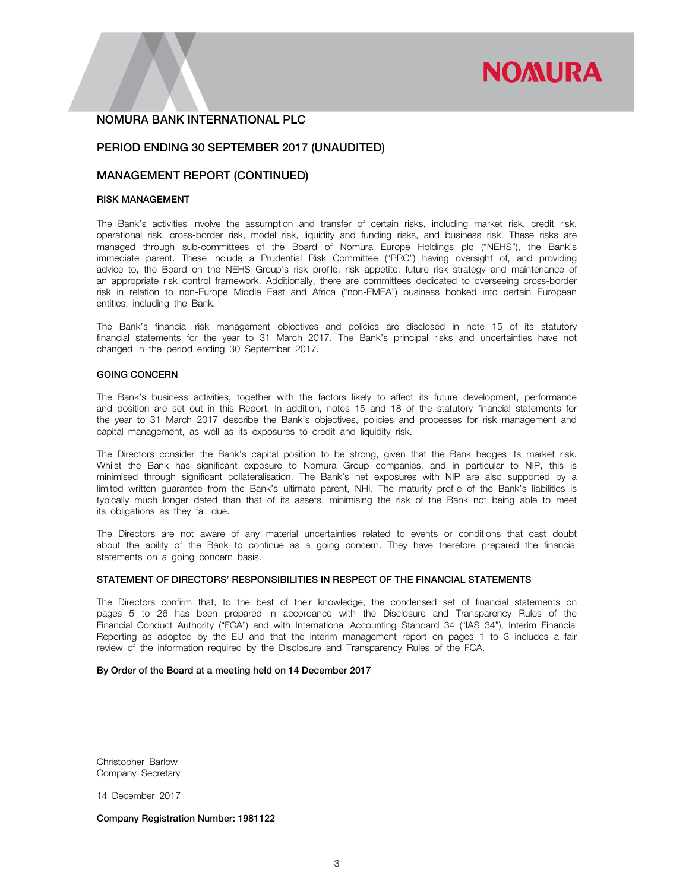# **NOMURA**

## NOMURA BANK INTERNATIONAL PLC

## PERIOD ENDING 30 SEPTEMBER 2017 (UNAUDITED)

## MANAGEMENT REPORT (CONTINUED)

#### RISK MANAGEMENT

The Bank's activities involve the assumption and transfer of certain risks, including market risk, credit risk, operational risk, cross-border risk, model risk, liquidity and funding risks, and business risk. These risks are managed through sub-committees of the Board of Nomura Europe Holdings plc ("NEHS"), the Bank's immediate parent. These include a Prudential Risk Committee ("PRC") having oversight of, and providing advice to, the Board on the NEHS Group's risk profile, risk appetite, future risk strategy and maintenance of an appropriate risk control framework. Additionally, there are committees dedicated to overseeing cross-border risk in relation to non-Europe Middle East and Africa ("non-EMEA") business booked into certain European entities, including the Bank.

The Bank's financial risk management objectives and policies are disclosed in note 15 of its statutory financial statements for the year to 31 March 2017. The Bank's principal risks and uncertainties have not changed in the period ending 30 September 2017.

#### GOING CONCERN

The Bank's business activities, together with the factors likely to affect its future development, performance and position are set out in this Report. In addition, notes 15 and 18 of the statutory financial statements for the year to 31 March 2017 describe the Bank's objectives, policies and processes for risk management and capital management, as well as its exposures to credit and liquidity risk.

The Directors consider the Bank's capital position to be strong, given that the Bank hedges its market risk. Whilst the Bank has significant exposure to Nomura Group companies, and in particular to NIP, this is minimised through significant collateralisation. The Bank's net exposures with NIP are also supported by a limited written guarantee from the Bank's ultimate parent, NHI. The maturity profile of the Bank's liabilities is typically much longer dated than that of its assets, minimising the risk of the Bank not being able to meet its obligations as they fall due.

The Directors are not aware of any material uncertainties related to events or conditions that cast doubt about the ability of the Bank to continue as a going concern. They have therefore prepared the financial statements on a going concern basis.

#### STATEMENT OF DIRECTORS' RESPONSIBILITIES IN RESPECT OF THE FINANCIAL STATEMENTS

The Directors confirm that, to the best of their knowledge, the condensed set of financial statements on pages 5 to 26 has been prepared in accordance with the Disclosure and Transparency Rules of the Financial Conduct Authority ("FCA") and with International Accounting Standard 34 ("IAS 34"), Interim Financial Reporting as adopted by the EU and that the interim management report on pages 1 to 3 includes a fair review of the information required by the Disclosure and Transparency Rules of the FCA.

#### By Order of the Board at a meeting held on 14 December 2017

Christopher Barlow Company Secretary

14 December 2017

Company Registration Number: 1981122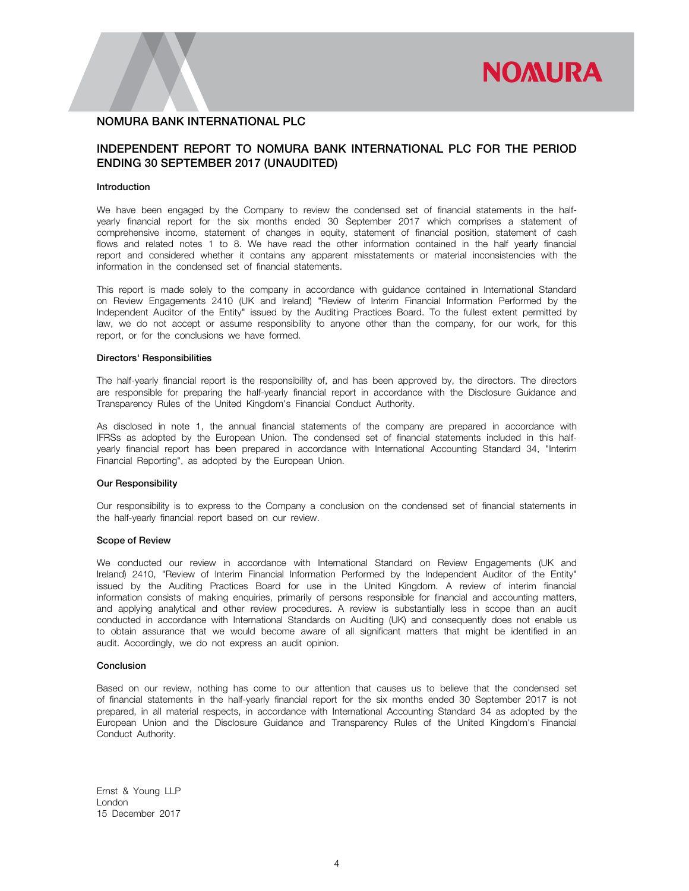

## INDEPENDENT REPORT TO NOMURA BANK INTERNATIONAL PLC FOR THE PERIOD ENDING 30 SEPTEMBER 2017 (UNAUDITED)

#### Introduction

We have been engaged by the Company to review the condensed set of financial statements in the halfyearly financial report for the six months ended 30 September 2017 which comprises a statement of comprehensive income, statement of changes in equity, statement of financial position, statement of cash flows and related notes 1 to 8. We have read the other information contained in the half yearly financial report and considered whether it contains any apparent misstatements or material inconsistencies with the information in the condensed set of financial statements.

This report is made solely to the company in accordance with guidance contained in International Standard on Review Engagements 2410 (UK and Ireland) "Review of Interim Financial Information Performed by the Independent Auditor of the Entity" issued by the Auditing Practices Board. To the fullest extent permitted by law, we do not accept or assume responsibility to anyone other than the company, for our work, for this report, or for the conclusions we have formed.

#### Directors' Responsibilities

The half-yearly financial report is the responsibility of, and has been approved by, the directors. The directors are responsible for preparing the half-yearly financial report in accordance with the Disclosure Guidance and Transparency Rules of the United Kingdom's Financial Conduct Authority.

As disclosed in note 1, the annual financial statements of the company are prepared in accordance with IFRSs as adopted by the European Union. The condensed set of financial statements included in this halfyearly financial report has been prepared in accordance with International Accounting Standard 34, "Interim Financial Reporting", as adopted by the European Union.

#### Our Responsibility

Our responsibility is to express to the Company a conclusion on the condensed set of financial statements in the half-yearly financial report based on our review.

#### Scope of Review

We conducted our review in accordance with International Standard on Review Engagements (UK and Ireland) 2410, "Review of Interim Financial Information Performed by the Independent Auditor of the Entity" issued by the Auditing Practices Board for use in the United Kingdom. A review of interim financial information consists of making enquiries, primarily of persons responsible for financial and accounting matters, and applying analytical and other review procedures. A review is substantially less in scope than an audit conducted in accordance with International Standards on Auditing (UK) and consequently does not enable us to obtain assurance that we would become aware of all significant matters that might be identified in an audit. Accordingly, we do not express an audit opinion.

#### Conclusion

Based on our review, nothing has come to our attention that causes us to believe that the condensed set of financial statements in the half-yearly financial report for the six months ended 30 September 2017 is not prepared, in all material respects, in accordance with International Accounting Standard 34 as adopted by the European Union and the Disclosure Guidance and Transparency Rules of the United Kingdom's Financial Conduct Authority.

Ernst & Young LLP London 15 December 2017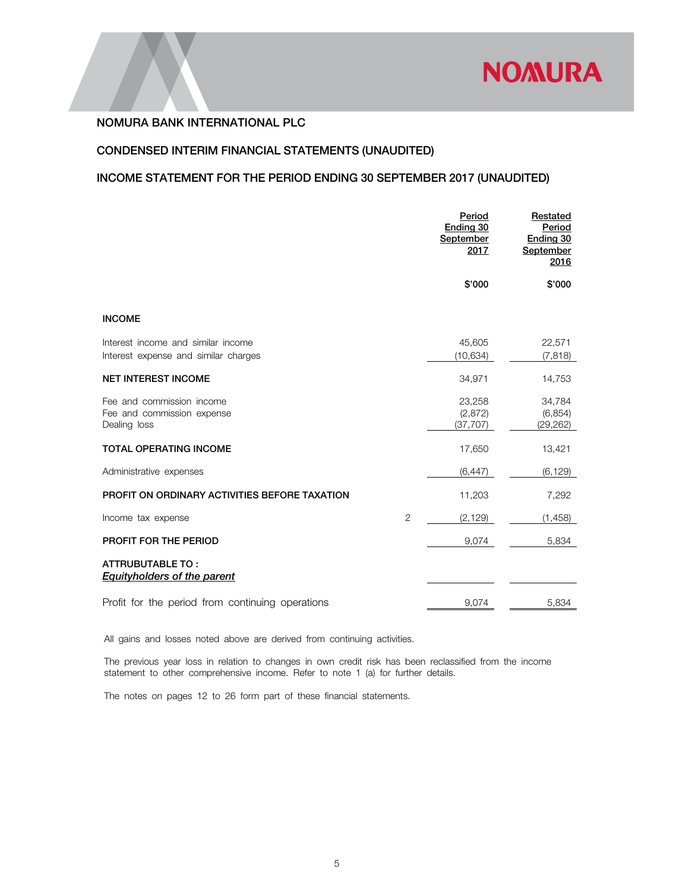

# CONDENSED INTERIM FINANCIAL STATEMENTS (UNAUDITED)

# INCOME STATEMENT FOR THE PERIOD ENDING 30 SEPTEMBER 2017 (UNAUDITED)

|                                                                            |                | Period<br>Ending 30<br>September<br>2017 | Restated<br>Period<br>Ending 30<br>September<br>2016 |
|----------------------------------------------------------------------------|----------------|------------------------------------------|------------------------------------------------------|
|                                                                            |                | \$'000                                   | \$'000                                               |
| <b>INCOME</b>                                                              |                |                                          |                                                      |
| Interest income and similar income<br>Interest expense and similar charges |                | 45,605<br>(10, 634)                      | 22,571<br>(7, 818)                                   |
| <b>NET INTEREST INCOME</b>                                                 |                | 34,971                                   | 14,753                                               |
| Fee and commission income<br>Fee and commission expense<br>Dealing loss    |                | 23,258<br>(2,872)<br>(37, 707)           | 34,784<br>(6, 854)<br>(29, 262)                      |
| <b>TOTAL OPERATING INCOME</b>                                              |                | 17,650                                   | 13,421                                               |
| Administrative expenses                                                    |                | (6, 447)                                 | (6, 129)                                             |
| PROFIT ON ORDINARY ACTIVITIES BEFORE TAXATION                              |                | 11,203                                   | 7,292                                                |
| Income tax expense                                                         | $\overline{2}$ | (2, 129)                                 | (1, 458)                                             |
| PROFIT FOR THE PERIOD                                                      |                | 9,074                                    | 5,834                                                |
| <b>ATTRUBUTABLE TO:</b><br><b>Equityholders of the parent</b>              |                |                                          |                                                      |
| Profit for the period from continuing operations                           |                | 9,074                                    | 5,834                                                |

All gains and losses noted above are derived from continuing activities.

The previous year loss in relation to changes in own credit risk has been reclassified from the income statement to other comprehensive income. Refer to note 1 (a) for further details.

The notes on pages 12 to 26 form part of these financial statements.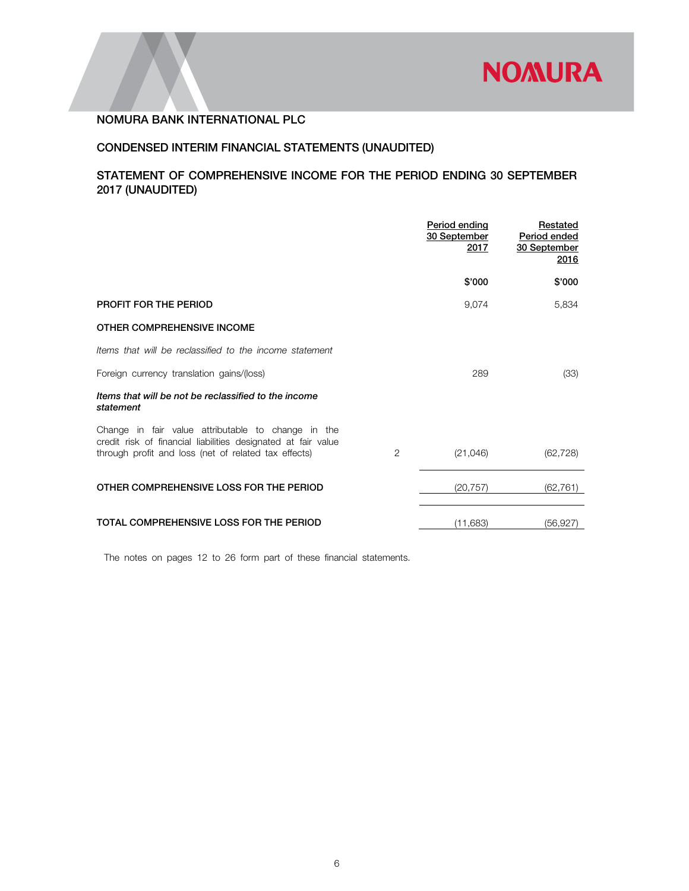

# CONDENSED INTERIM FINANCIAL STATEMENTS (UNAUDITED)

# STATEMENT OF COMPREHENSIVE INCOME FOR THE PERIOD ENDING 30 SEPTEMBER 2017 (UNAUDITED)

|                                                                                                                                                                             |                | Period ending<br>30 September<br>2017 | Restated<br>Period ended<br>30 September<br>2016 |
|-----------------------------------------------------------------------------------------------------------------------------------------------------------------------------|----------------|---------------------------------------|--------------------------------------------------|
|                                                                                                                                                                             |                | \$'000                                | \$'000                                           |
| PROFIT FOR THE PERIOD                                                                                                                                                       |                | 9,074                                 | 5,834                                            |
| OTHER COMPREHENSIVE INCOME                                                                                                                                                  |                |                                       |                                                  |
| Items that will be reclassified to the income statement                                                                                                                     |                |                                       |                                                  |
| Foreign currency translation gains/(loss)                                                                                                                                   |                | 289                                   | (33)                                             |
| Items that will be not be reclassified to the income<br>statement                                                                                                           |                |                                       |                                                  |
| Change in fair value attributable to change in the<br>credit risk of financial liabilities designated at fair value<br>through profit and loss (net of related tax effects) | $\overline{2}$ | (21,046)                              | (62, 728)                                        |
| OTHER COMPREHENSIVE LOSS FOR THE PERIOD                                                                                                                                     |                | (20, 757)                             | (62, 761)                                        |
| TOTAL COMPREHENSIVE LOSS FOR THE PERIOD                                                                                                                                     |                | (11.683)                              | (56.927)                                         |

The notes on pages 12 to 26 form part of these financial statements.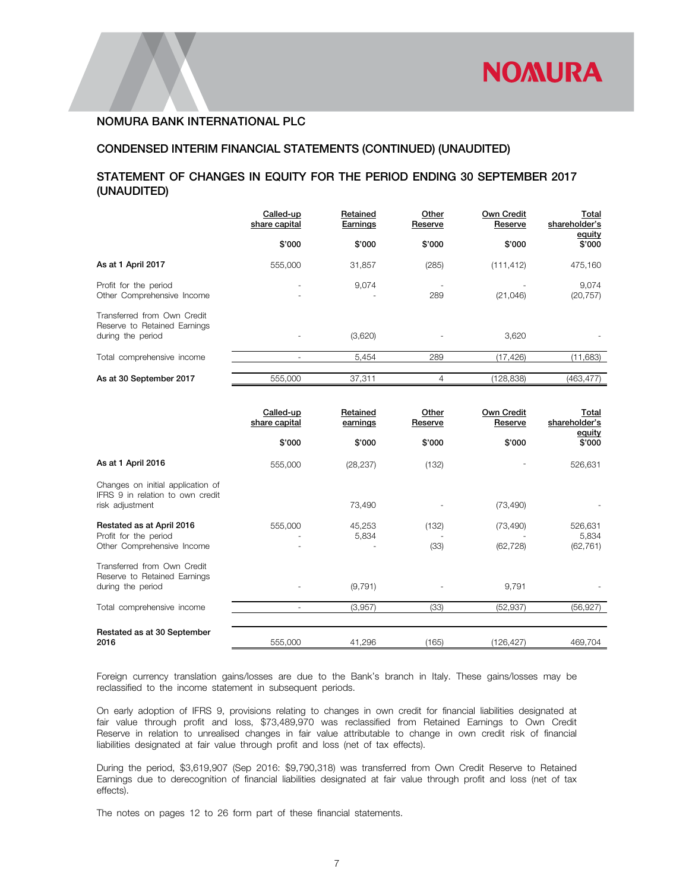# CONDENSED INTERIM FINANCIAL STATEMENTS (CONTINUED) (UNAUDITED)

# STATEMENT OF CHANGES IN EQUITY FOR THE PERIOD ENDING 30 SEPTEMBER 2017 (UNAUDITED)

|                                                                                  | Called-up<br>share capital | Retained<br>Earnings | Other<br>Reserve | <b>Own Credit</b><br>Reserve | <u>Total</u><br>shareholder's |
|----------------------------------------------------------------------------------|----------------------------|----------------------|------------------|------------------------------|-------------------------------|
|                                                                                  | \$'000                     | \$'000               | \$'000           | \$'000                       | equity<br>\$'000              |
| As at 1 April 2017                                                               | 555,000                    | 31,857               | (285)            | (111, 412)                   | 475,160                       |
| Profit for the period<br>Other Comprehensive Income                              |                            | 9,074                | 289              | (21,046)                     | 9,074<br>(20, 757)            |
| Transferred from Own Credit<br>Reserve to Retained Earnings<br>during the period |                            | (3,620)              |                  | 3,620                        |                               |
| Total comprehensive income                                                       |                            | 5,454                | 289              | (17,426)                     | (11,683)                      |
| As at 30 September 2017                                                          | 555,000                    | 37,311               | 4                | (128.838)                    | (463.477)                     |

|                                                                                          | Called-up<br>share capital | Retained<br>earnings | Other<br>Reserve | Own Credit<br>Reserve  | <b>Total</b><br>shareholder's<br>equity |
|------------------------------------------------------------------------------------------|----------------------------|----------------------|------------------|------------------------|-----------------------------------------|
|                                                                                          | \$'000                     | \$'000               | \$'000           | \$'000                 | \$'000                                  |
| As at 1 April 2016                                                                       | 555,000                    | (28, 237)            | (132)            |                        | 526,631                                 |
| Changes on initial application of<br>IFRS 9 in relation to own credit<br>risk adjustment |                            | 73,490               |                  | (73, 490)              |                                         |
| Restated as at April 2016<br>Profit for the period<br>Other Comprehensive Income         | 555,000                    | 45,253<br>5,834      | (132)<br>(33)    | (73, 490)<br>(62, 728) | 526,631<br>5,834<br>(62, 761)           |
| Transferred from Own Credit<br>Reserve to Retained Earnings<br>during the period         |                            | (9, 791)             |                  | 9,791                  |                                         |
| Total comprehensive income                                                               |                            | (3,957)              | (33)             | (52, 937)              | (56, 927)                               |
| Restated as at 30 September<br>2016                                                      | 555,000                    | 41,296               | (165)            | (126,427)              | 469,704                                 |

Foreign currency translation gains/losses are due to the Bank's branch in Italy. These gains/losses may be reclassified to the income statement in subsequent periods.

On early adoption of IFRS 9, provisions relating to changes in own credit for financial liabilities designated at fair value through profit and loss, \$73,489,970 was reclassified from Retained Earnings to Own Credit Reserve in relation to unrealised changes in fair value attributable to change in own credit risk of financial liabilities designated at fair value through profit and loss (net of tax effects).

During the period, \$3,619,907 (Sep 2016: \$9,790,318) was transferred from Own Credit Reserve to Retained Earnings due to derecognition of financial liabilities designated at fair value through profit and loss (net of tax effects).

The notes on pages 12 to 26 form part of these financial statements.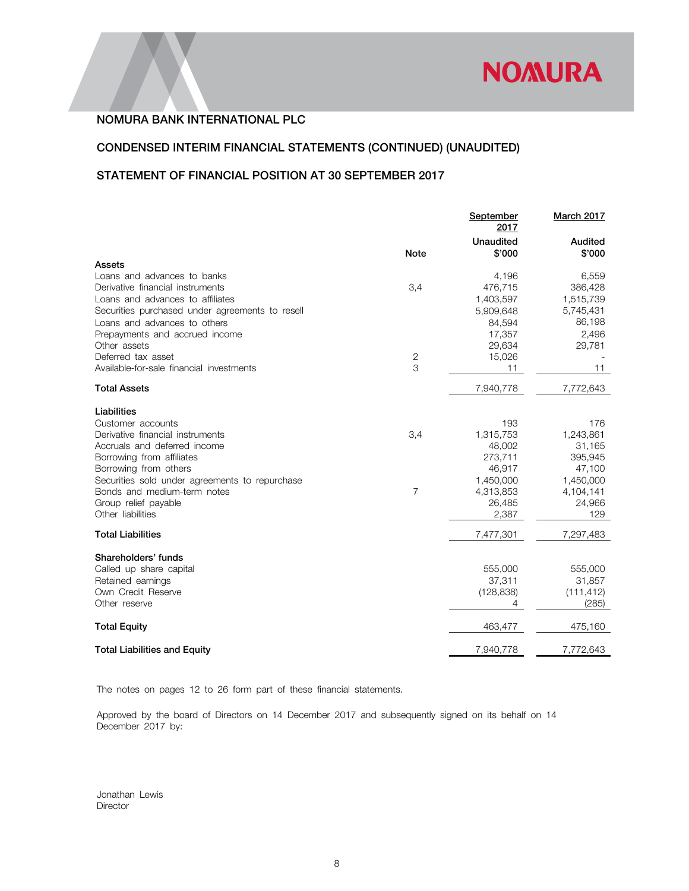

# CONDENSED INTERIM FINANCIAL STATEMENTS (CONTINUED) (UNAUDITED)

# STATEMENT OF FINANCIAL POSITION AT 30 SEPTEMBER 2017

|                                                             | September<br>2017          | March 2017        |
|-------------------------------------------------------------|----------------------------|-------------------|
| <b>Note</b>                                                 | <b>Unaudited</b><br>\$'000 | Audited<br>\$'000 |
| Assets                                                      |                            |                   |
| Loans and advances to banks                                 | 4,196                      | 6,559             |
| Derivative financial instruments<br>3,4                     | 476,715                    | 386,428           |
| Loans and advances to affiliates                            | 1,403,597                  | 1,515,739         |
| Securities purchased under agreements to resell             | 5,909,648                  | 5,745,431         |
| Loans and advances to others                                | 84,594                     | 86,198            |
| Prepayments and accrued income                              | 17,357                     | 2,496             |
| Other assets<br>Deferred tax asset                          | 29,634                     | 29,781            |
| $\sqrt{2}$<br>3<br>Available-for-sale financial investments | 15,026<br>11               | 11                |
|                                                             |                            |                   |
| <b>Total Assets</b>                                         | 7,940,778                  | 7,772,643         |
| Liabilities                                                 |                            |                   |
| Customer accounts                                           | 193                        | 176               |
| Derivative financial instruments<br>3,4                     | 1,315,753                  | 1,243,861         |
| Accruals and deferred income                                | 48,002                     | 31,165            |
| Borrowing from affiliates                                   | 273,711                    | 395,945           |
| Borrowing from others                                       | 46,917                     | 47,100            |
| Securities sold under agreements to repurchase              | 1,450,000                  | 1,450,000         |
| $\overline{7}$<br>Bonds and medium-term notes               | 4,313,853                  | 4,104,141         |
| Group relief payable                                        | 26,485                     | 24,966            |
| Other liabilities                                           | 2,387                      | 129               |
| <b>Total Liabilities</b>                                    | 7,477,301                  | 7,297,483         |
| Shareholders' funds                                         |                            |                   |
| Called up share capital                                     | 555,000                    | 555,000           |
| Retained earnings                                           | 37,311                     | 31,857            |
| Own Credit Reserve                                          | (128, 838)                 | (111, 412)        |
| Other reserve                                               | 4                          | (285)             |
| <b>Total Equity</b>                                         | 463,477                    | 475,160           |
| <b>Total Liabilities and Equity</b>                         | 7,940,778                  | 7,772,643         |

The notes on pages 12 to 26 form part of these financial statements.

Approved by the board of Directors on 14 December 2017 and subsequently signed on its behalf on 14 December 2017 by:

Jonathan Lewis Director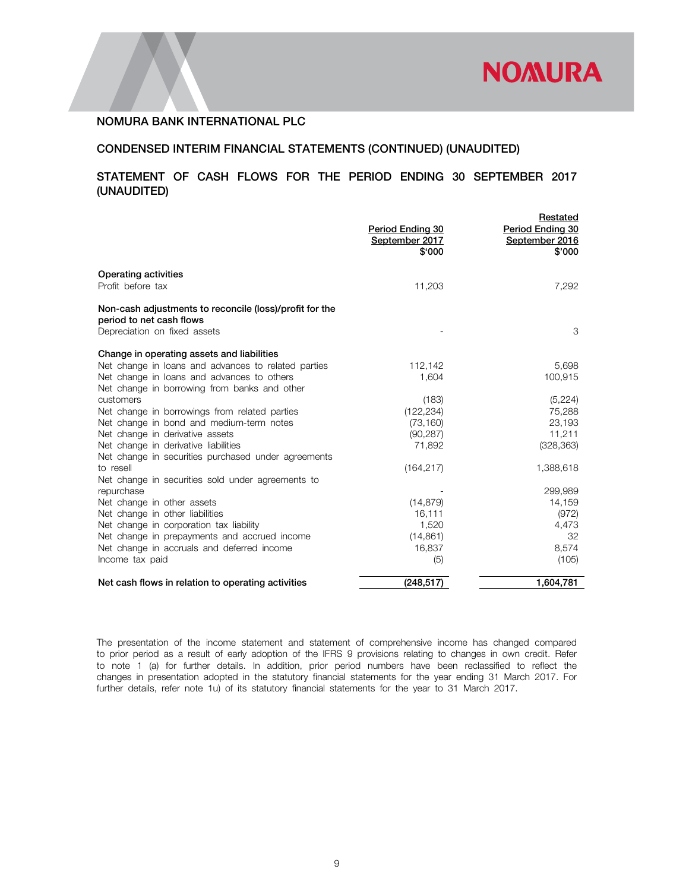

## CONDENSED INTERIM FINANCIAL STATEMENTS (CONTINUED) (UNAUDITED)

# STATEMENT OF CASH FLOWS FOR THE PERIOD ENDING 30 SEPTEMBER 2017 (UNAUDITED)

|                                                                                                                     | <b>Period Ending 30</b><br>September 2017<br>\$'000 | Restated<br>Period Ending 30<br>September 2016<br>\$'000 |
|---------------------------------------------------------------------------------------------------------------------|-----------------------------------------------------|----------------------------------------------------------|
| <b>Operating activities</b><br>Profit before tax                                                                    | 11,203                                              | 7,292                                                    |
| Non-cash adjustments to reconcile (loss)/profit for the<br>period to net cash flows<br>Depreciation on fixed assets |                                                     | 3                                                        |
| Change in operating assets and liabilities                                                                          |                                                     |                                                          |
| Net change in loans and advances to related parties                                                                 | 112,142                                             | 5,698                                                    |
| Net change in loans and advances to others                                                                          | 1,604                                               | 100,915                                                  |
| Net change in borrowing from banks and other                                                                        |                                                     |                                                          |
| customers                                                                                                           | (183)                                               | (5,224)                                                  |
| Net change in borrowings from related parties                                                                       | (122, 234)                                          | 75,288                                                   |
| Net change in bond and medium-term notes                                                                            | (73, 160)                                           | 23,193                                                   |
| Net change in derivative assets                                                                                     | (90, 287)                                           | 11,211                                                   |
| Net change in derivative liabilities                                                                                | 71.892                                              | (328, 363)                                               |
| Net change in securities purchased under agreements                                                                 |                                                     |                                                          |
| to resell                                                                                                           | (164, 217)                                          | 1,388,618                                                |
| Net change in securities sold under agreements to                                                                   |                                                     |                                                          |
| repurchase                                                                                                          |                                                     | 299,989                                                  |
| Net change in other assets                                                                                          | (14, 879)                                           | 14,159                                                   |
| Net change in other liabilities                                                                                     | 16,111                                              | (972)                                                    |
| Net change in corporation tax liability                                                                             | 1,520                                               | 4,473                                                    |
| Net change in prepayments and accrued income                                                                        | (14, 861)                                           | 32                                                       |
| Net change in accruals and deferred income                                                                          | 16,837                                              | 8,574                                                    |
| Income tax paid                                                                                                     | (5)                                                 | (105)                                                    |
| Net cash flows in relation to operating activities                                                                  | (248, 517)                                          | 1,604,781                                                |

The presentation of the income statement and statement of comprehensive income has changed compared to prior period as a result of early adoption of the IFRS 9 provisions relating to changes in own credit. Refer to note 1 (a) for further details. In addition, prior period numbers have been reclassified to reflect the changes in presentation adopted in the statutory financial statements for the year ending 31 March 2017. For further details, refer note 1u) of its statutory financial statements for the year to 31 March 2017.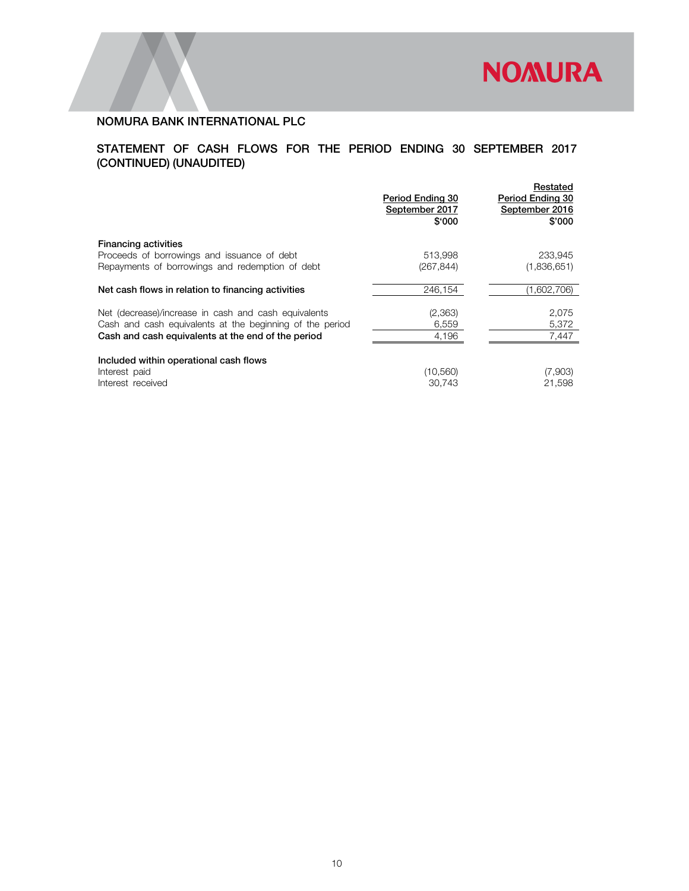

# STATEMENT OF CASH FLOWS FOR THE PERIOD ENDING 30 SEPTEMBER 2017 (CONTINUED) (UNAUDITED)

|                                                          | Period Ending 30<br>September 2017<br>\$'000 | Restated<br>Period Ending 30<br>September 2016<br>\$'000 |
|----------------------------------------------------------|----------------------------------------------|----------------------------------------------------------|
| <b>Financing activities</b>                              |                                              |                                                          |
| Proceeds of borrowings and issuance of debt              | 513.998                                      | 233.945                                                  |
| Repayments of borrowings and redemption of debt          | (267, 844)                                   | (1,836,651)                                              |
| Net cash flows in relation to financing activities       | 246.154                                      | (1,602,706)                                              |
| Net (decrease)/increase in cash and cash equivalents     | (2,363)                                      | 2,075                                                    |
| Cash and cash equivalents at the beginning of the period | 6,559                                        | 5,372                                                    |
| Cash and cash equivalents at the end of the period       | 4,196                                        | 7,447                                                    |
| Included within operational cash flows                   |                                              |                                                          |
| Interest paid                                            | (10, 560)                                    | (7,903)                                                  |
| Interest received                                        | 30,743                                       | 21,598                                                   |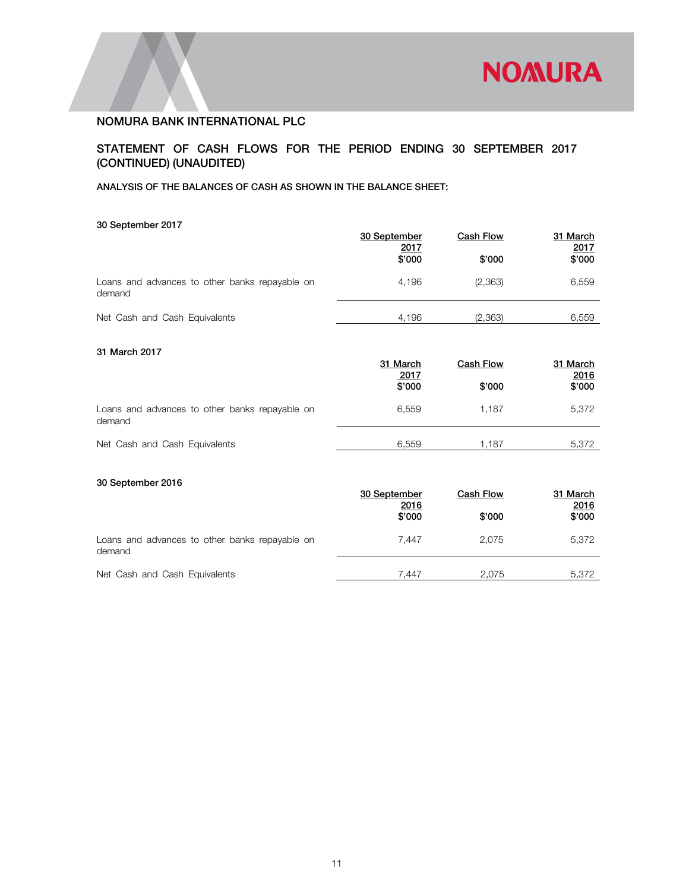

# STATEMENT OF CASH FLOWS FOR THE PERIOD ENDING 30 SEPTEMBER 2017 (CONTINUED) (UNAUDITED)

#### ANALYSIS OF THE BALANCES OF CASH AS SHOWN IN THE BALANCE SHEET:

#### 30 September 2017

|                                                          | 30 September<br>2017 | <b>Cash Flow</b> | 31 March<br>2017 |
|----------------------------------------------------------|----------------------|------------------|------------------|
|                                                          | \$'000               | \$'000           | \$'000           |
| Loans and advances to other banks repayable on<br>demand | 4.196                | (2,363)          | 6.559            |
| Net Cash and Cash Equivalents                            | 4.196                | (2,363)          | 6.559            |

# 31 March 2017

|                                                          | 31 March<br>2017<br>\$'000 | Cash Flow<br>\$'000 | 31 March<br>2016<br>\$'000 |
|----------------------------------------------------------|----------------------------|---------------------|----------------------------|
| Loans and advances to other banks repayable on<br>demand | 6.559                      | 1.187               | 5.372                      |
| Net Cash and Cash Equivalents                            | 6.559                      | 1.187               | 5.372                      |

## 30 September 2016

| 30 September | <b>Cash Flow</b> | 31 March<br><u>2016</u> |
|--------------|------------------|-------------------------|
| \$'000       | \$'000           | \$'000                  |
| 7.447        | 2.075            | 5,372                   |
| 7.447        | 2.075            | 5,372                   |
|              | 2016             |                         |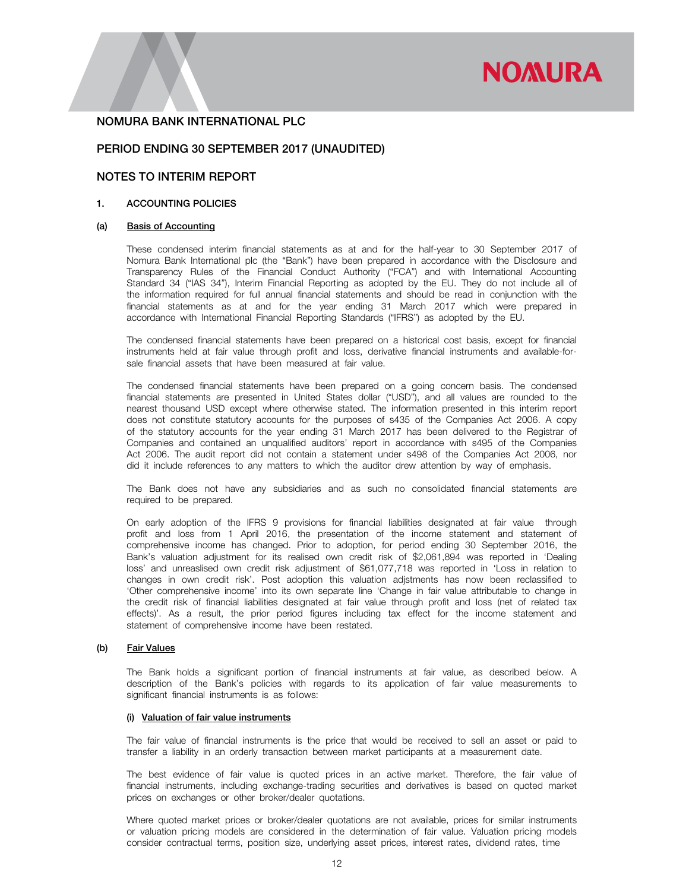# **NOMURA**

#### NOMURA BANK INTERNATIONAL PLC

#### PERIOD ENDING 30 SEPTEMBER 2017 (UNAUDITED)

## NOTES TO INTERIM REPORT

#### 1. ACCOUNTING POLICIES

#### (a) Basis of Accounting

 These condensed interim financial statements as at and for the half-year to 30 September 2017 of Nomura Bank International plc (the "Bank") have been prepared in accordance with the Disclosure and Transparency Rules of the Financial Conduct Authority ("FCA") and with International Accounting Standard 34 ("IAS 34"), Interim Financial Reporting as adopted by the EU. They do not include all of the information required for full annual financial statements and should be read in conjunction with the financial statements as at and for the year ending 31 March 2017 which were prepared in accordance with International Financial Reporting Standards ("IFRS") as adopted by the EU.

 The condensed financial statements have been prepared on a historical cost basis, except for financial instruments held at fair value through profit and loss, derivative financial instruments and available-forsale financial assets that have been measured at fair value.

 The condensed financial statements have been prepared on a going concern basis. The condensed financial statements are presented in United States dollar ("USD"), and all values are rounded to the nearest thousand USD except where otherwise stated. The information presented in this interim report does not constitute statutory accounts for the purposes of s435 of the Companies Act 2006. A copy of the statutory accounts for the year ending 31 March 2017 has been delivered to the Registrar of Companies and contained an unqualified auditors' report in accordance with s495 of the Companies Act 2006. The audit report did not contain a statement under s498 of the Companies Act 2006, nor did it include references to any matters to which the auditor drew attention by way of emphasis.

 The Bank does not have any subsidiaries and as such no consolidated financial statements are required to be prepared.

On early adoption of the IFRS 9 provisions for financial liabilities designated at fair value through profit and loss from 1 April 2016, the presentation of the income statement and statement of comprehensive income has changed. Prior to adoption, for period ending 30 September 2016, the Bank's valuation adjustment for its realised own credit risk of \$2,061,894 was reported in 'Dealing loss' and unreaslised own credit risk adjustment of \$61,077,718 was reported in 'Loss in relation to changes in own credit risk'. Post adoption this valuation adjstments has now been reclassified to 'Other comprehensive income' into its own separate line 'Change in fair value attributable to change in the credit risk of financial liabilities designated at fair value through profit and loss (net of related tax effects)'. As a result, the prior period figures including tax effect for the income statement and statement of comprehensive income have been restated.

#### (b) Fair Values

The Bank holds a significant portion of financial instruments at fair value, as described below. A description of the Bank's policies with regards to its application of fair value measurements to significant financial instruments is as follows:

#### (i) Valuation of fair value instruments

The fair value of financial instruments is the price that would be received to sell an asset or paid to transfer a liability in an orderly transaction between market participants at a measurement date.

The best evidence of fair value is quoted prices in an active market. Therefore, the fair value of financial instruments, including exchange-trading securities and derivatives is based on quoted market prices on exchanges or other broker/dealer quotations.

Where quoted market prices or broker/dealer quotations are not available, prices for similar instruments or valuation pricing models are considered in the determination of fair value. Valuation pricing models consider contractual terms, position size, underlying asset prices, interest rates, dividend rates, time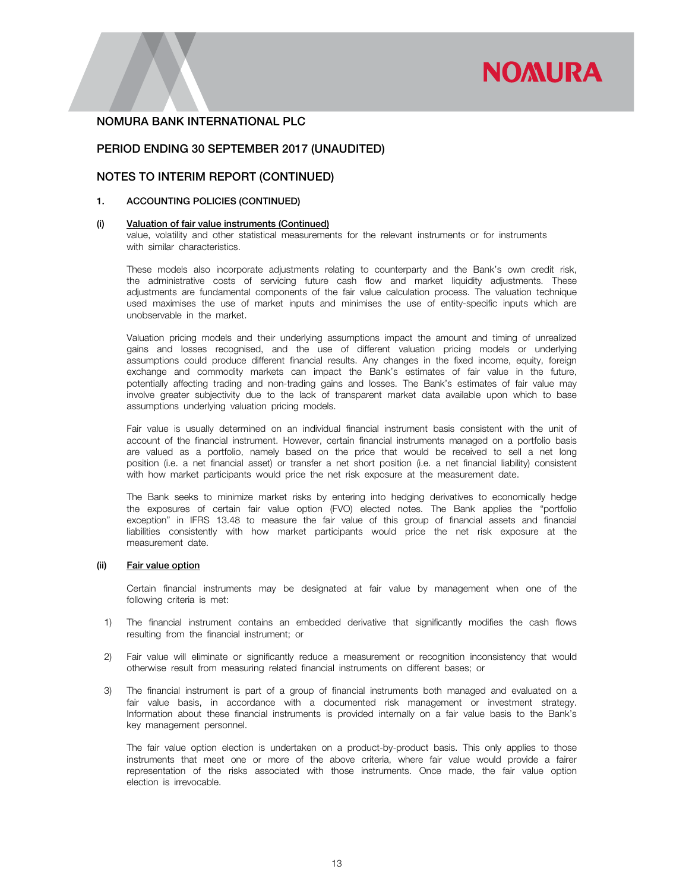# **NOMURA**

## NOMURA BANK INTERNATIONAL PLC

## PERIOD ENDING 30 SEPTEMBER 2017 (UNAUDITED)

## NOTES TO INTERIM REPORT (CONTINUED)

#### 1. ACCOUNTING POLICIES (CONTINUED)

#### (i) Valuation of fair value instruments (Continued)

value, volatility and other statistical measurements for the relevant instruments or for instruments with similar characteristics.

These models also incorporate adjustments relating to counterparty and the Bank's own credit risk, the administrative costs of servicing future cash flow and market liquidity adjustments. These adjustments are fundamental components of the fair value calculation process. The valuation technique used maximises the use of market inputs and minimises the use of entity-specific inputs which are unobservable in the market.

Valuation pricing models and their underlying assumptions impact the amount and timing of unrealized gains and losses recognised, and the use of different valuation pricing models or underlying assumptions could produce different financial results. Any changes in the fixed income, equity, foreign exchange and commodity markets can impact the Bank's estimates of fair value in the future, potentially affecting trading and non-trading gains and losses. The Bank's estimates of fair value may involve greater subjectivity due to the lack of transparent market data available upon which to base assumptions underlying valuation pricing models.

Fair value is usually determined on an individual financial instrument basis consistent with the unit of account of the financial instrument. However, certain financial instruments managed on a portfolio basis are valued as a portfolio, namely based on the price that would be received to sell a net long position (i.e. a net financial asset) or transfer a net short position (i.e. a net financial liability) consistent with how market participants would price the net risk exposure at the measurement date.

The Bank seeks to minimize market risks by entering into hedging derivatives to economically hedge the exposures of certain fair value option (FVO) elected notes. The Bank applies the "portfolio exception" in IFRS 13.48 to measure the fair value of this group of financial assets and financial liabilities consistently with how market participants would price the net risk exposure at the measurement date.

#### (ii) Fair value option

Certain financial instruments may be designated at fair value by management when one of the following criteria is met:

- 1) The financial instrument contains an embedded derivative that significantly modifies the cash flows resulting from the financial instrument; or
- 2) Fair value will eliminate or significantly reduce a measurement or recognition inconsistency that would otherwise result from measuring related financial instruments on different bases; or
- 3) The financial instrument is part of a group of financial instruments both managed and evaluated on a fair value basis, in accordance with a documented risk management or investment strategy. Information about these financial instruments is provided internally on a fair value basis to the Bank's key management personnel.

The fair value option election is undertaken on a product-by-product basis. This only applies to those instruments that meet one or more of the above criteria, where fair value would provide a fairer representation of the risks associated with those instruments. Once made, the fair value option election is irrevocable.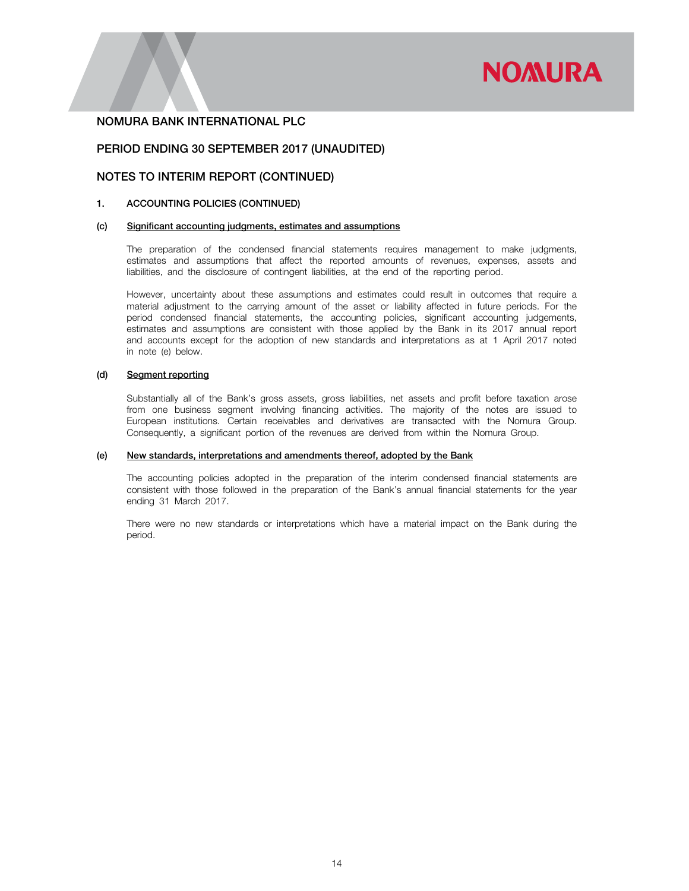

#### PERIOD ENDING 30 SEPTEMBER 2017 (UNAUDITED)

#### NOTES TO INTERIM REPORT (CONTINUED)

#### 1. ACCOUNTING POLICIES (CONTINUED)

#### (c) Significant accounting judgments, estimates and assumptions

The preparation of the condensed financial statements requires management to make judgments, estimates and assumptions that affect the reported amounts of revenues, expenses, assets and liabilities, and the disclosure of contingent liabilities, at the end of the reporting period.

However, uncertainty about these assumptions and estimates could result in outcomes that require a material adjustment to the carrying amount of the asset or liability affected in future periods. For the period condensed financial statements, the accounting policies, significant accounting judgements, estimates and assumptions are consistent with those applied by the Bank in its 2017 annual report and accounts except for the adoption of new standards and interpretations as at 1 April 2017 noted in note (e) below.

#### (d) Segment reporting

Substantially all of the Bank's gross assets, gross liabilities, net assets and profit before taxation arose from one business segment involving financing activities. The majority of the notes are issued to European institutions. Certain receivables and derivatives are transacted with the Nomura Group. Consequently, a significant portion of the revenues are derived from within the Nomura Group.

#### (e) New standards, interpretations and amendments thereof, adopted by the Bank

The accounting policies adopted in the preparation of the interim condensed financial statements are consistent with those followed in the preparation of the Bank's annual financial statements for the year ending 31 March 2017.

There were no new standards or interpretations which have a material impact on the Bank during the period.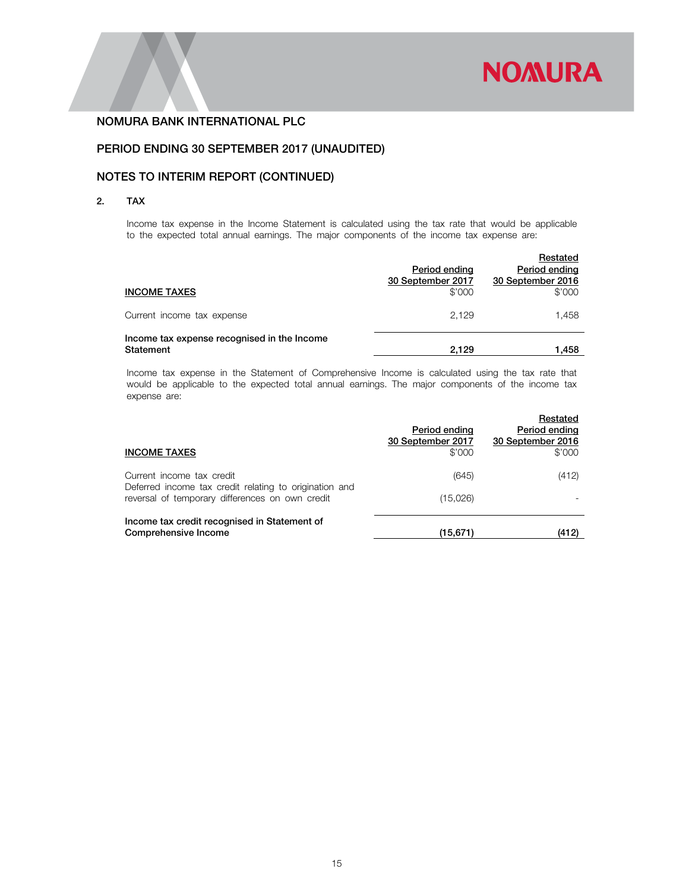

# PERIOD ENDING 30 SEPTEMBER 2017 (UNAUDITED)

# NOTES TO INTERIM REPORT (CONTINUED)

#### 2. TAX

Income tax expense in the Income Statement is calculated using the tax rate that would be applicable to the expected total annual earnings. The major components of the income tax expense are:

| <b>INCOME TAXES</b>                                      | Period ending<br>30 September 2017<br>\$'000 | Restated<br>Period ending<br>30 September 2016<br>\$'000 |
|----------------------------------------------------------|----------------------------------------------|----------------------------------------------------------|
| Current income tax expense                               | 2.129                                        | 1.458                                                    |
| Income tax expense recognised in the Income<br>Statement | 2.129                                        | 1.458                                                    |

Income tax expense in the Statement of Comprehensive Income is calculated using the tax rate that would be applicable to the expected total annual earnings. The major components of the income tax expense are:

| <b>INCOME TAXES</b>                                                                                       | Period ending<br>30 September 2017<br>\$'000 | Restated<br>Period ending<br>30 September 2016<br>\$'000 |
|-----------------------------------------------------------------------------------------------------------|----------------------------------------------|----------------------------------------------------------|
| Current income tax credit                                                                                 | (645)                                        | (412)                                                    |
| Deferred income tax credit relating to origination and<br>reversal of temporary differences on own credit | (15,026)                                     |                                                          |
| Income tax credit recognised in Statement of<br>Comprehensive Income                                      | (15, 671)                                    | (412)                                                    |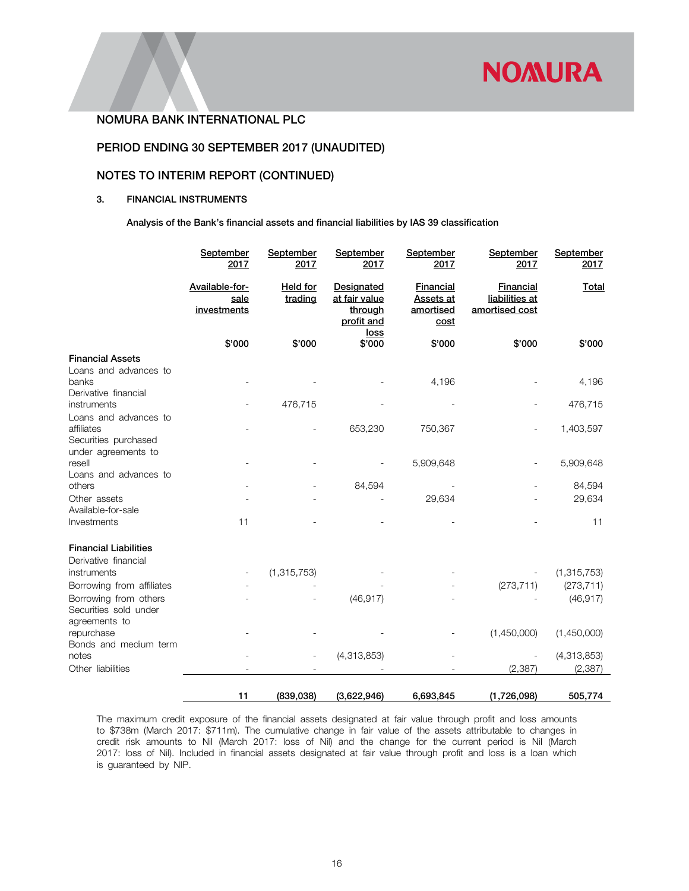

# PERIOD ENDING 30 SEPTEMBER 2017 (UNAUDITED)

# NOTES TO INTERIM REPORT (CONTINUED)

#### 3. FINANCIAL INSTRUMENTS

Analysis of the Bank's financial assets and financial liabilities by IAS 39 classification

|                                                                 | September<br>2017                     | September<br>2017          | <b>September</b><br>2017                                            | September<br>2017                                         | September<br>2017                                    | September<br>2017 |
|-----------------------------------------------------------------|---------------------------------------|----------------------------|---------------------------------------------------------------------|-----------------------------------------------------------|------------------------------------------------------|-------------------|
|                                                                 | Available-for-<br>sale<br>investments | <b>Held for</b><br>trading | <b>Designated</b><br>at fair value<br>through<br>profit and<br>loss | <b>Financial</b><br>Assets at<br>amortised<br><u>cost</u> | <b>Financial</b><br>liabilities at<br>amortised cost | Total             |
|                                                                 | \$'000                                | \$'000                     | \$'000                                                              | \$'000                                                    | \$'000                                               | \$'000            |
| <b>Financial Assets</b>                                         |                                       |                            |                                                                     |                                                           |                                                      |                   |
| Loans and advances to<br>banks                                  |                                       |                            |                                                                     | 4,196                                                     |                                                      | 4,196             |
| Derivative financial<br>instruments                             |                                       | 476,715                    |                                                                     |                                                           |                                                      | 476,715           |
| Loans and advances to<br>affiliates<br>Securities purchased     |                                       |                            | 653,230                                                             | 750,367                                                   |                                                      | 1,403,597         |
| under agreements to<br>resell<br>Loans and advances to          |                                       |                            |                                                                     | 5,909,648                                                 |                                                      | 5,909,648         |
| others                                                          |                                       |                            | 84,594                                                              |                                                           |                                                      | 84,594            |
| Other assets<br>Available-for-sale                              |                                       |                            |                                                                     | 29,634                                                    |                                                      | 29,634            |
| Investments                                                     | 11                                    |                            |                                                                     |                                                           |                                                      | 11                |
| <b>Financial Liabilities</b><br>Derivative financial            |                                       |                            |                                                                     |                                                           |                                                      |                   |
| instruments                                                     |                                       | (1, 315, 753)              |                                                                     |                                                           |                                                      | (1,315,753)       |
| Borrowing from affiliates                                       |                                       |                            |                                                                     |                                                           | (273, 711)                                           | (273, 711)        |
| Borrowing from others<br>Securities sold under<br>agreements to |                                       |                            | (46, 917)                                                           |                                                           |                                                      | (46, 917)         |
| repurchase<br>Bonds and medium term                             |                                       |                            |                                                                     |                                                           | (1,450,000)                                          | (1,450,000)       |
| notes                                                           |                                       |                            | (4,313,853)                                                         |                                                           |                                                      | (4,313,853)       |
| Other liabilities                                               |                                       |                            |                                                                     |                                                           | (2, 387)                                             | (2, 387)          |
|                                                                 | 11                                    | (839, 038)                 | (3,622,946)                                                         | 6,693,845                                                 | (1,726,098)                                          | 505,774           |

The maximum credit exposure of the financial assets designated at fair value through profit and loss amounts to \$738m (March 2017: \$711m). The cumulative change in fair value of the assets attributable to changes in credit risk amounts to Nil (March 2017: loss of Nil) and the change for the current period is Nil (March 2017: loss of Nil). Included in financial assets designated at fair value through profit and loss is a loan which is guaranteed by NIP.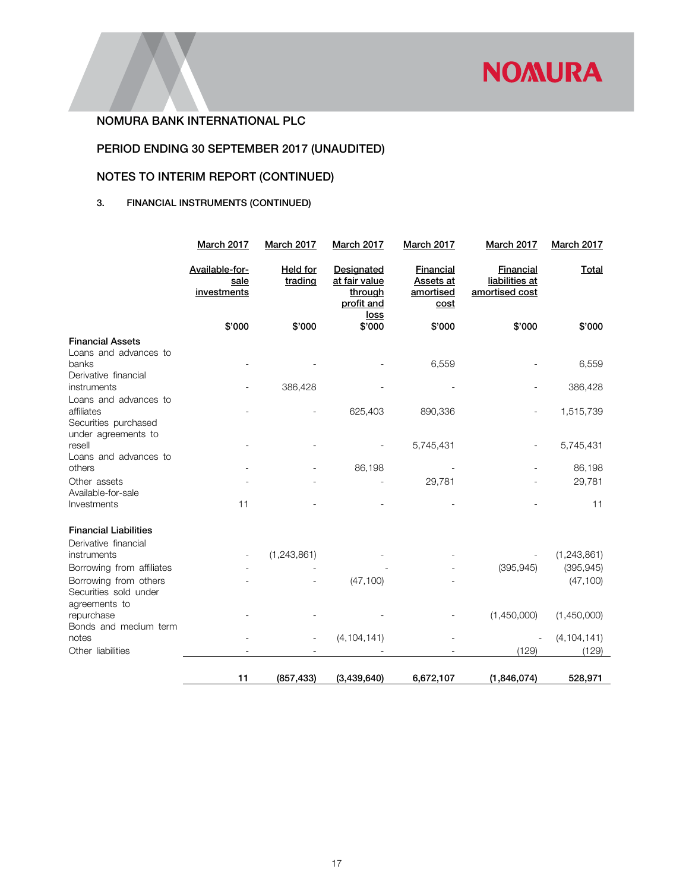

# PERIOD ENDING 30 SEPTEMBER 2017 (UNAUDITED)

# NOTES TO INTERIM REPORT (CONTINUED)

# 3. FINANCIAL INSTRUMENTS (CONTINUED)

|                                                                 | <b>March 2017</b>                     | <b>March 2017</b>          | <b>March 2017</b>                                    | <b>March 2017</b>                           | <b>March 2017</b>                             | <b>March 2017</b> |
|-----------------------------------------------------------------|---------------------------------------|----------------------------|------------------------------------------------------|---------------------------------------------|-----------------------------------------------|-------------------|
|                                                                 | Available-for-<br>sale<br>investments | <b>Held for</b><br>trading | Designated<br>at fair value<br>through<br>profit and | Financial<br>Assets at<br>amortised<br>cost | Financial<br>liabilities at<br>amortised cost | Total             |
|                                                                 | \$'000                                | \$'000                     | <u>loss</u><br>\$'000                                | \$'000                                      | \$'000                                        | \$'000            |
| <b>Financial Assets</b>                                         |                                       |                            |                                                      |                                             |                                               |                   |
| Loans and advances to<br>banks                                  |                                       |                            |                                                      | 6,559                                       |                                               | 6,559             |
| Derivative financial<br>instruments                             |                                       | 386,428                    |                                                      |                                             |                                               | 386,428           |
| Loans and advances to<br>affiliates<br>Securities purchased     |                                       |                            | 625,403                                              | 890,336                                     |                                               | 1,515,739         |
| under agreements to<br>resell                                   |                                       |                            |                                                      | 5,745,431                                   |                                               | 5,745,431         |
| Loans and advances to<br>others                                 |                                       |                            | 86,198                                               |                                             |                                               | 86,198            |
| Other assets<br>Available-for-sale                              |                                       |                            |                                                      | 29,781                                      |                                               | 29,781            |
| Investments                                                     | 11                                    |                            |                                                      |                                             |                                               | 11                |
| <b>Financial Liabilities</b>                                    |                                       |                            |                                                      |                                             |                                               |                   |
| Derivative financial                                            |                                       |                            |                                                      |                                             |                                               |                   |
| instruments                                                     |                                       | (1,243,861)                |                                                      |                                             |                                               | (1,243,861)       |
| Borrowing from affiliates                                       |                                       |                            |                                                      |                                             | (395, 945)                                    | (395, 945)        |
| Borrowing from others<br>Securities sold under<br>agreements to |                                       |                            | (47, 100)                                            |                                             |                                               | (47, 100)         |
| repurchase<br>Bonds and medium term                             |                                       |                            |                                                      |                                             | (1,450,000)                                   | (1,450,000)       |
| notes                                                           |                                       |                            | (4, 104, 141)                                        |                                             |                                               | (4, 104, 141)     |
| Other liabilities                                               |                                       |                            |                                                      |                                             | (129)                                         | (129)             |
|                                                                 | 11                                    | (857, 433)                 | (3,439,640)                                          | 6,672,107                                   | (1,846,074)                                   | 528,971           |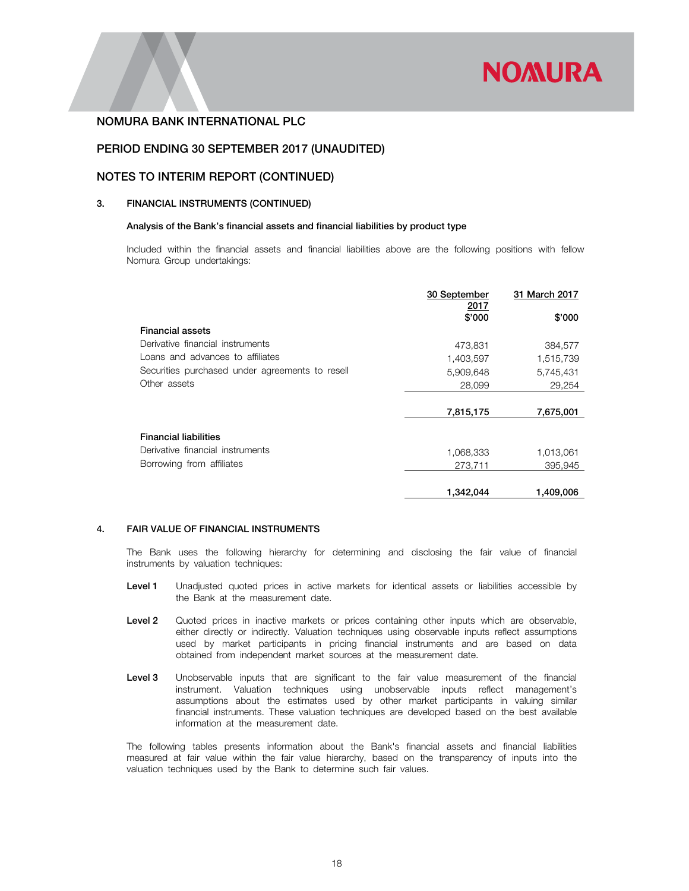

## PERIOD ENDING 30 SEPTEMBER 2017 (UNAUDITED)

#### NOTES TO INTERIM REPORT (CONTINUED)

#### 3. FINANCIAL INSTRUMENTS (CONTINUED)

#### Analysis of the Bank's financial assets and financial liabilities by product type

Included within the financial assets and financial liabilities above are the following positions with fellow Nomura Group undertakings:

|                                                 | 30 September   | 31 March 2017 |
|-------------------------------------------------|----------------|---------------|
|                                                 | 2017<br>\$'000 | \$'000        |
| <b>Financial assets</b>                         |                |               |
| Derivative financial instruments                | 473,831        | 384,577       |
| Loans and advances to affiliates                | 1,403,597      | 1,515,739     |
| Securities purchased under agreements to resell | 5,909,648      | 5,745,431     |
| Other assets                                    | 28,099         | 29,254        |
|                                                 |                |               |
|                                                 | 7,815,175      | 7,675,001     |
| <b>Financial liabilities</b>                    |                |               |
| Derivative financial instruments                |                |               |
|                                                 | 1,068,333      | 1,013,061     |
| Borrowing from affiliates                       | 273,711        | 395.945       |
|                                                 | 1,342,044      | 1,409,006     |

#### 4. FAIR VALUE OF FINANCIAL INSTRUMENTS

The Bank uses the following hierarchy for determining and disclosing the fair value of financial instruments by valuation techniques:

- Level 1 Unadjusted quoted prices in active markets for identical assets or liabilities accessible by the Bank at the measurement date.
- Level 2 Quoted prices in inactive markets or prices containing other inputs which are observable, either directly or indirectly. Valuation techniques using observable inputs reflect assumptions used by market participants in pricing financial instruments and are based on data obtained from independent market sources at the measurement date.
- Level 3 Unobservable inputs that are significant to the fair value measurement of the financial instrument. Valuation techniques using unobservable inputs reflect management's assumptions about the estimates used by other market participants in valuing similar financial instruments. These valuation techniques are developed based on the best available information at the measurement date.

The following tables presents information about the Bank's financial assets and financial liabilities measured at fair value within the fair value hierarchy, based on the transparency of inputs into the valuation techniques used by the Bank to determine such fair values.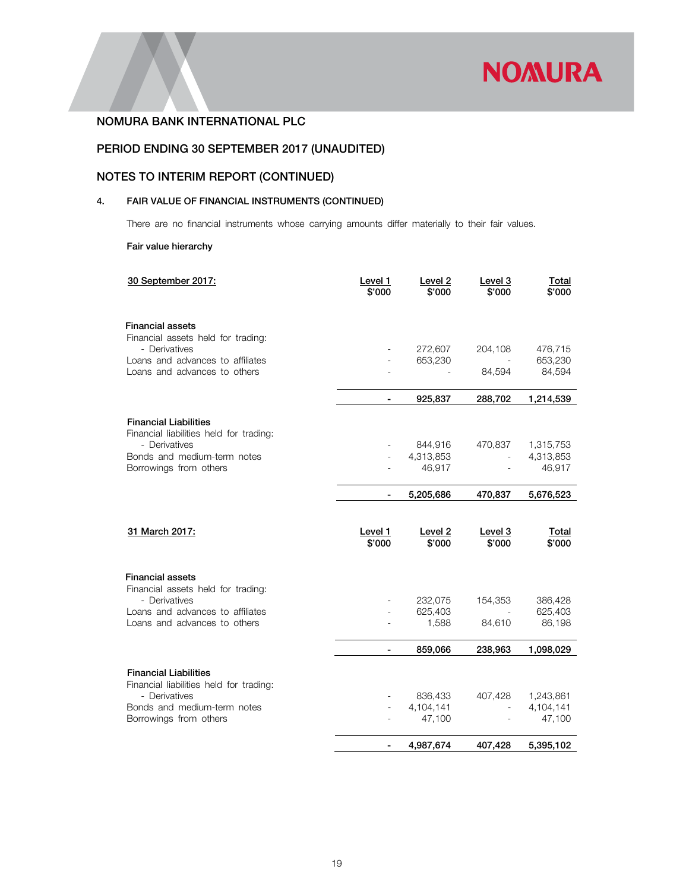

# PERIOD ENDING 30 SEPTEMBER 2017 (UNAUDITED)

# NOTES TO INTERIM REPORT (CONTINUED)

# 4. FAIR VALUE OF FINANCIAL INSTRUMENTS (CONTINUED)

There are no financial instruments whose carrying amounts differ materially to their fair values.

#### Fair value hierarchy

| 30 September 2017:                                                      | Level 1<br>\$'000 | Level 2<br>\$'000 | Level 3<br>\$'000 | <b>Total</b><br>\$'000 |
|-------------------------------------------------------------------------|-------------------|-------------------|-------------------|------------------------|
| <b>Financial assets</b>                                                 |                   |                   |                   |                        |
| Financial assets held for trading:                                      |                   |                   |                   |                        |
| - Derivatives                                                           |                   | 272,607           | 204,108           | 476,715                |
| Loans and advances to affiliates<br>Loans and advances to others        | $\blacksquare$    | 653,230           | 84,594            | 653,230<br>84,594      |
|                                                                         |                   |                   |                   |                        |
|                                                                         | $\blacksquare$    | 925,837           | 288,702           | 1,214,539              |
| <b>Financial Liabilities</b>                                            |                   |                   |                   |                        |
| Financial liabilities held for trading:                                 |                   |                   |                   |                        |
| - Derivatives                                                           |                   | 844,916           | 470,837           | 1,315,753              |
| Bonds and medium-term notes                                             |                   | 4,313,853         | $\mathbf{r}$      | 4,313,853              |
| Borrowings from others                                                  |                   | 46,917            |                   | 46,917                 |
|                                                                         | $\blacksquare$    | 5,205,686         | 470,837           | 5,676,523              |
| 31 March 2017:                                                          | Level 1<br>\$'000 | Level 2<br>\$'000 | Level 3<br>\$'000 | Total<br>\$'000        |
| <b>Financial assets</b><br>Financial assets held for trading:           |                   |                   |                   |                        |
| - Derivatives                                                           |                   | 232,075           | 154,353           | 386,428                |
| Loans and advances to affiliates                                        |                   | 625,403           |                   | 625,403                |
| Loans and advances to others                                            |                   | 1,588             | 84,610            | 86,198                 |
|                                                                         |                   | 859,066           | 238,963           | 1,098,029              |
| <b>Financial Liabilities</b><br>Financial liabilities held for trading: |                   |                   |                   |                        |
| - Derivatives                                                           |                   | 836,433           | 407,428           | 1,243,861              |
| Bonds and medium-term notes                                             |                   | 4,104,141         |                   | 4,104,141              |
| Borrowings from others                                                  |                   | 47,100            |                   | 47,100                 |
|                                                                         |                   | 4,987,674         | 407,428           | 5,395,102              |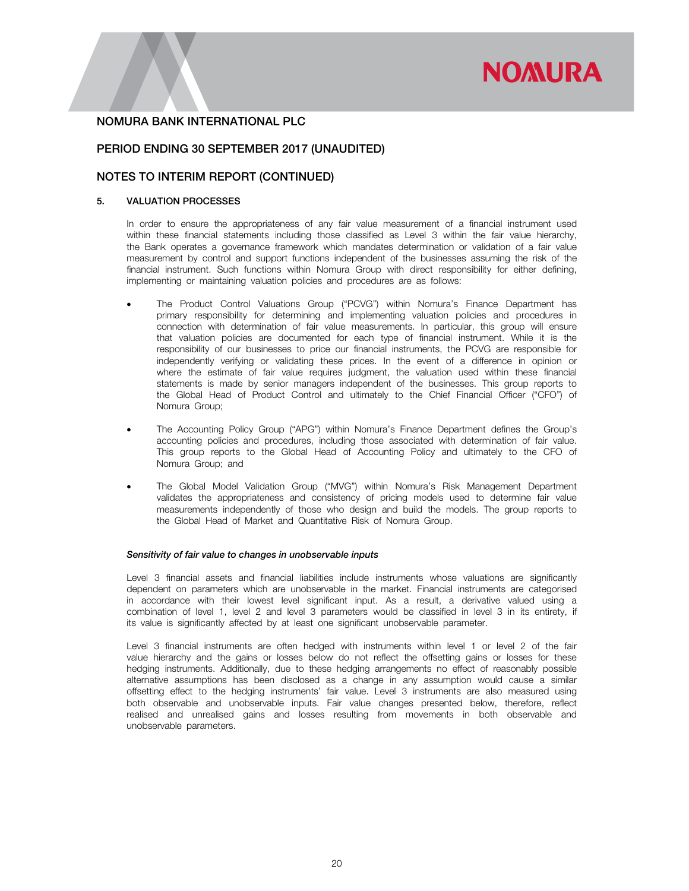# **NOMURA**

## NOMURA BANK INTERNATIONAL PLC

## PERIOD ENDING 30 SEPTEMBER 2017 (UNAUDITED)

## NOTES TO INTERIM REPORT (CONTINUED)

#### 5. VALUATION PROCESSES

In order to ensure the appropriateness of any fair value measurement of a financial instrument used within these financial statements including those classified as Level 3 within the fair value hierarchy, the Bank operates a governance framework which mandates determination or validation of a fair value measurement by control and support functions independent of the businesses assuming the risk of the financial instrument. Such functions within Nomura Group with direct responsibility for either defining, implementing or maintaining valuation policies and procedures are as follows:

- The Product Control Valuations Group ("PCVG") within Nomura's Finance Department has primary responsibility for determining and implementing valuation policies and procedures in connection with determination of fair value measurements. In particular, this group will ensure that valuation policies are documented for each type of financial instrument. While it is the responsibility of our businesses to price our financial instruments, the PCVG are responsible for independently verifying or validating these prices. In the event of a difference in opinion or where the estimate of fair value requires judgment, the valuation used within these financial statements is made by senior managers independent of the businesses. This group reports to the Global Head of Product Control and ultimately to the Chief Financial Officer ("CFO") of Nomura Group;
- The Accounting Policy Group ("APG") within Nomura's Finance Department defines the Group's accounting policies and procedures, including those associated with determination of fair value. This group reports to the Global Head of Accounting Policy and ultimately to the CFO of Nomura Group; and
- The Global Model Validation Group ("MVG") within Nomura's Risk Management Department validates the appropriateness and consistency of pricing models used to determine fair value measurements independently of those who design and build the models. The group reports to the Global Head of Market and Quantitative Risk of Nomura Group.

#### *Sensitivity of fair value to changes in unobservable inputs*

Level 3 financial assets and financial liabilities include instruments whose valuations are significantly dependent on parameters which are unobservable in the market. Financial instruments are categorised in accordance with their lowest level significant input. As a result, a derivative valued using a combination of level 1, level 2 and level 3 parameters would be classified in level 3 in its entirety, if its value is significantly affected by at least one significant unobservable parameter.

Level 3 financial instruments are often hedged with instruments within level 1 or level 2 of the fair value hierarchy and the gains or losses below do not reflect the offsetting gains or losses for these hedging instruments. Additionally, due to these hedging arrangements no effect of reasonably possible alternative assumptions has been disclosed as a change in any assumption would cause a similar offsetting effect to the hedging instruments' fair value. Level 3 instruments are also measured using both observable and unobservable inputs. Fair value changes presented below, therefore, reflect realised and unrealised gains and losses resulting from movements in both observable and unobservable parameters.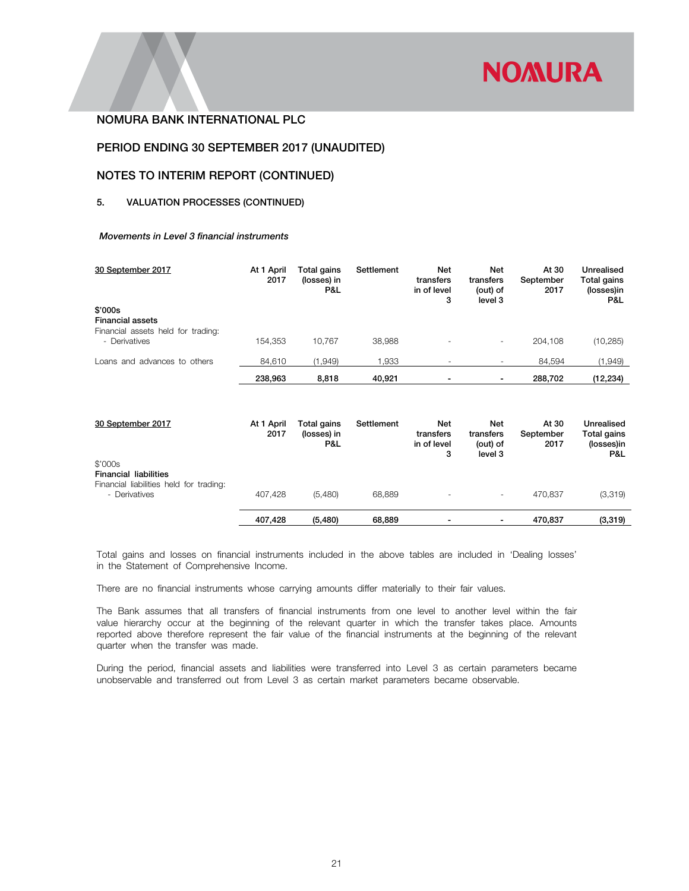

## PERIOD ENDING 30 SEPTEMBER 2017 (UNAUDITED)

#### NOTES TO INTERIM REPORT (CONTINUED)

#### 5. VALUATION PROCESSES (CONTINUED)

#### *Movements in Level 3 financial instruments*

| 30 September 2017                                                        | At 1 April<br>2017 | Total gains<br>(losses) in<br>P&L | Settlement | <b>Net</b><br>transfers<br>in of level<br>3 | Net<br>transfers<br>(out) of<br>level 3 | At 30<br>September<br>2017 | Unrealised<br>Total gains<br>(losses)in<br>P&L |
|--------------------------------------------------------------------------|--------------------|-----------------------------------|------------|---------------------------------------------|-----------------------------------------|----------------------------|------------------------------------------------|
| \$'000s<br><b>Financial assets</b><br>Financial assets held for trading: |                    |                                   |            |                                             |                                         |                            |                                                |
| - Derivatives                                                            | 154.353            | 10.767                            | 38.988     |                                             | $\overline{\phantom{a}}$                | 204.108                    | (10, 285)                                      |
| Loans and advances to others                                             | 84,610             | (1,949)                           | 1,933      |                                             |                                         | 84,594                     | (1,949)                                        |
|                                                                          | 238,963            | 8.818                             | 40.921     |                                             |                                         | 288.702                    | (12, 234)                                      |

| 30 September 2017                                                                                   | At 1 April<br>2017 | Total gains<br>(losses) in<br>P&L | Settlement | <b>Net</b><br>transfers<br>in of level<br>3 | Net<br>transfers<br>(out) of<br>level 3 | At 30<br>September<br>2017 | Unrealised<br>Total gains<br>(losses)in<br>P&L |
|-----------------------------------------------------------------------------------------------------|--------------------|-----------------------------------|------------|---------------------------------------------|-----------------------------------------|----------------------------|------------------------------------------------|
| \$'000s<br><b>Financial liabilities</b><br>Financial liabilities held for trading:<br>- Derivatives | 407.428            | (5,480)                           | 68.889     | $\overline{\phantom{a}}$                    | -                                       | 470.837                    | (3,319)                                        |
|                                                                                                     | 407,428            | (5, 480)                          | 68,889     | -                                           |                                         | 470.837                    | (3, 319)                                       |

 Total gains and losses on financial instruments included in the above tables are included in 'Dealing losses' in the Statement of Comprehensive Income.

There are no financial instruments whose carrying amounts differ materially to their fair values.

The Bank assumes that all transfers of financial instruments from one level to another level within the fair value hierarchy occur at the beginning of the relevant quarter in which the transfer takes place. Amounts reported above therefore represent the fair value of the financial instruments at the beginning of the relevant quarter when the transfer was made.

 During the period, financial assets and liabilities were transferred into Level 3 as certain parameters became unobservable and transferred out from Level 3 as certain market parameters became observable.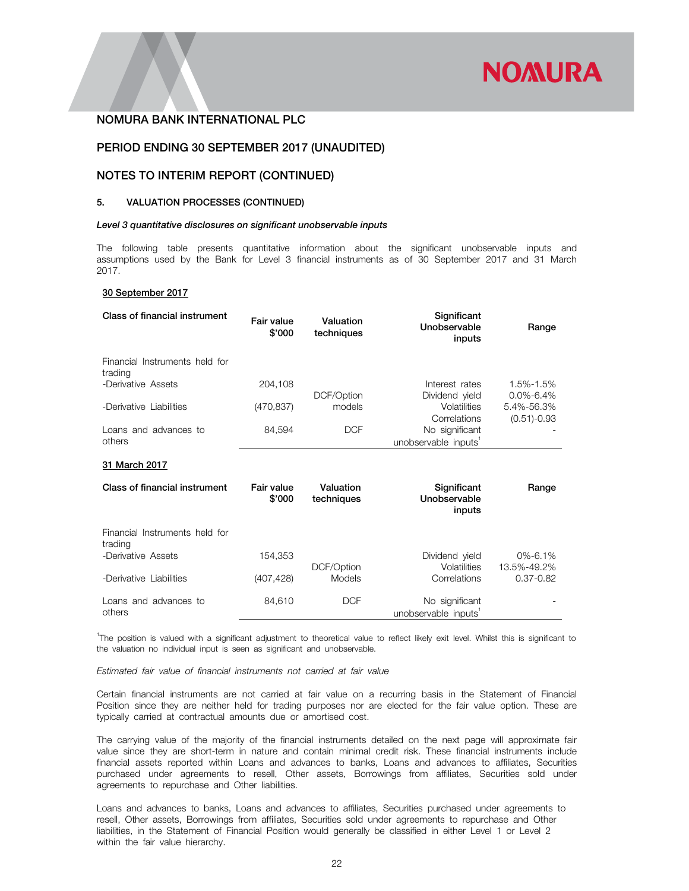

## PERIOD ENDING 30 SEPTEMBER 2017 (UNAUDITED)

## NOTES TO INTERIM REPORT (CONTINUED)

#### 5. VALUATION PROCESSES (CONTINUED)

#### *Level 3 quantitative disclosures on significant unobservable inputs*

The following table presents quantitative information about the significant unobservable inputs and assumptions used by the Bank for Level 3 financial instruments as of 30 September 2017 and 31 March 2017.

#### 30 September 2017

| Class of financial instrument             | Fair value<br>\$'000 | Valuation<br>techniques | Significant<br>Unobservable<br>inputs              | Range                         |
|-------------------------------------------|----------------------|-------------------------|----------------------------------------------------|-------------------------------|
| Financial Instruments held for<br>trading |                      |                         |                                                    |                               |
| -Derivative Assets                        | 204,108              | DCF/Option              | Interest rates<br>Dividend yield                   | 1.5%-1.5%<br>$0.0\% - 6.4\%$  |
| -Derivative Liabilities                   | (470, 837)           | models                  | Volatilities<br>Correlations                       | 5.4%-56.3%<br>$(0.51) - 0.93$ |
| Loans and advances to<br>others           | 84,594               | <b>DCF</b>              | No significant<br>unobservable inputs <sup>1</sup> |                               |
| 31 March 2017                             |                      |                         |                                                    |                               |
| Class of financial instrument             | Fair value<br>\$'000 | Valuation<br>techniques | Significant<br>Unobservable<br>inputs              | Range                         |
| Financial Instruments held for<br>trading |                      |                         |                                                    |                               |
| -Derivative Assets                        | 154,353              | DCF/Option              | Dividend yield<br>Volatilities                     | $0\% - 6.1\%$<br>13.5%-49.2%  |

| -Derivative Liabilities         | (407.428) | <b>Models</b> | Correlations                           | $0.37 - 0.82$ |
|---------------------------------|-----------|---------------|----------------------------------------|---------------|
| Loans and advances to<br>others | 84.610    | DCF           | No significant<br>unobservable inputs' |               |

1 The position is valued with a significant adjustment to theoretical value to reflect likely exit level. Whilst this is significant to the valuation no individual input is seen as significant and unobservable.

*Estimated fair value of financial instruments not carried at fair value* 

Certain financial instruments are not carried at fair value on a recurring basis in the Statement of Financial Position since they are neither held for trading purposes nor are elected for the fair value option. These are typically carried at contractual amounts due or amortised cost.

The carrying value of the majority of the financial instruments detailed on the next page will approximate fair value since they are short-term in nature and contain minimal credit risk. These financial instruments include financial assets reported within Loans and advances to banks, Loans and advances to affiliates, Securities purchased under agreements to resell, Other assets, Borrowings from affiliates, Securities sold under agreements to repurchase and Other liabilities.

Loans and advances to banks, Loans and advances to affiliates, Securities purchased under agreements to resell, Other assets, Borrowings from affiliates, Securities sold under agreements to repurchase and Other liabilities, in the Statement of Financial Position would generally be classified in either Level 1 or Level 2 within the fair value hierarchy.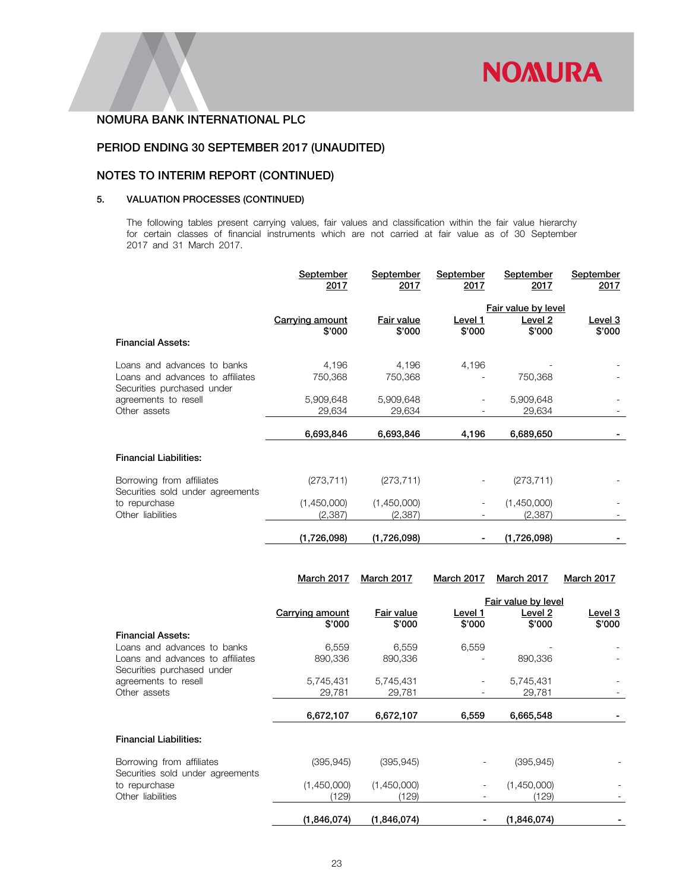

# PERIOD ENDING 30 SEPTEMBER 2017 (UNAUDITED)

# NOTES TO INTERIM REPORT (CONTINUED)

## 5. VALUATION PROCESSES (CONTINUED)

The following tables present carrying values, fair values and classification within the fair value hierarchy for certain classes of financial instruments which are not carried at fair value as of 30 September 2017 and 31 March 2017.

|                                                                                               | September<br>2017                | September<br>2017           | September<br>2017        | September<br>2017                        | September<br>2017        |
|-----------------------------------------------------------------------------------------------|----------------------------------|-----------------------------|--------------------------|------------------------------------------|--------------------------|
| <b>Financial Assets:</b>                                                                      | <b>Carrying amount</b><br>\$'000 | <b>Fair value</b><br>\$'000 | <u>Level 1</u><br>\$'000 | Fair value by level<br>Level 2<br>\$'000 | <u>Level 3</u><br>\$'000 |
| Loans and advances to banks<br>Loans and advances to affiliates<br>Securities purchased under | 4,196<br>750,368                 | 4,196<br>750,368            | 4,196                    | 750,368                                  |                          |
| agreements to resell<br>Other assets                                                          | 5,909,648<br>29,634              | 5,909,648<br>29,634         |                          | 5,909,648<br>29,634                      |                          |
|                                                                                               | 6,693,846                        | 6,693,846                   | 4,196                    | 6,689,650                                |                          |
| <b>Financial Liabilities:</b>                                                                 |                                  |                             |                          |                                          |                          |
| Borrowing from affiliates<br>Securities sold under agreements                                 | (273, 711)                       | (273, 711)                  |                          | (273, 711)                               |                          |
| to repurchase<br>Other liabilities                                                            | (1,450,000)<br>(2, 387)          | (1,450,000)<br>(2,387)      |                          | (1,450,000)<br>(2,387)                   |                          |
|                                                                                               | (1,726,098)                      | (1,726,098)                 |                          | (1,726,098)                              |                          |

|                                                               | March 2017      | <b>March 2017</b>     | March 2017 | March 2017        | <b>March 2017</b>                     |
|---------------------------------------------------------------|-----------------|-----------------------|------------|-------------------|---------------------------------------|
|                                                               | Carrying amount | Fair value<br>Level 1 |            |                   | Fair value by level<br><u>Level 3</u> |
|                                                               | \$'000          | \$'000                | \$'000     | Level 2<br>\$'000 | \$'000                                |
| <b>Financial Assets:</b>                                      |                 |                       |            |                   |                                       |
| Loans and advances to banks                                   | 6,559           | 6,559                 | 6,559      |                   |                                       |
| Loans and advances to affiliates                              | 890,336         | 890,336               |            | 890,336           |                                       |
| Securities purchased under                                    |                 |                       |            |                   |                                       |
| agreements to resell                                          | 5,745,431       | 5,745,431             |            | 5,745,431         |                                       |
| Other assets                                                  | 29,781          | 29,781                |            | 29,781            |                                       |
|                                                               |                 |                       |            |                   |                                       |
|                                                               | 6,672,107       | 6,672,107             | 6,559      | 6,665,548         |                                       |
| <b>Financial Liabilities:</b>                                 |                 |                       |            |                   |                                       |
| Borrowing from affiliates<br>Securities sold under agreements | (395, 945)      | (395, 945)            | -          | (395, 945)        |                                       |
| to repurchase                                                 | (1,450,000)     | (1,450,000)           |            | (1,450,000)       |                                       |
| Other liabilities                                             | (129)           | (129)                 |            | (129)             |                                       |
|                                                               | (1,846,074)     | (1,846,074)           |            | (1,846,074)       |                                       |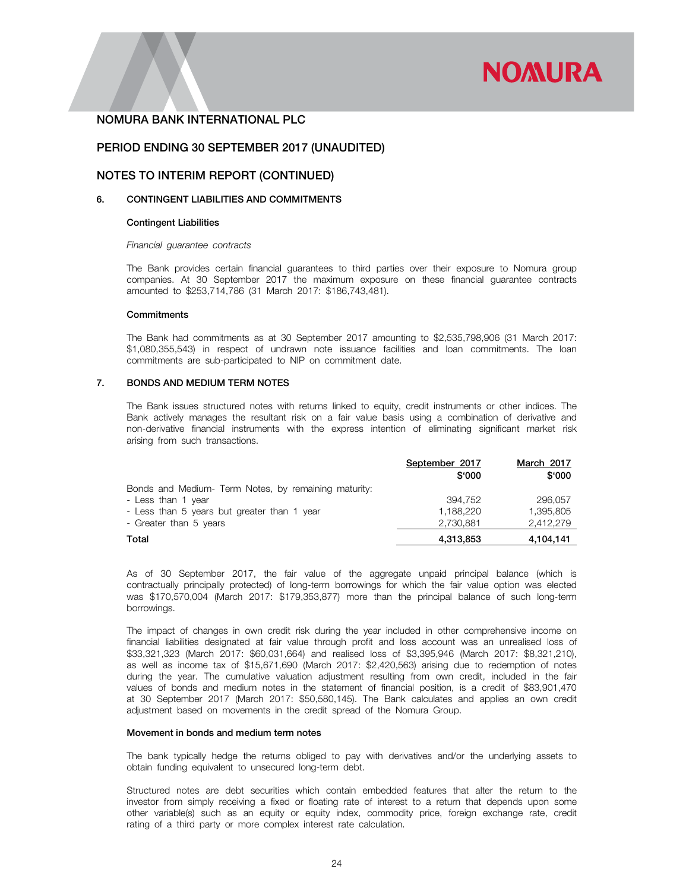

## PERIOD ENDING 30 SEPTEMBER 2017 (UNAUDITED)

## NOTES TO INTERIM REPORT (CONTINUED)

#### 6. CONTINGENT LIABILITIES AND COMMITMENTS

#### Contingent Liabilities

#### *Financial guarantee contracts*

The Bank provides certain financial guarantees to third parties over their exposure to Nomura group companies. At 30 September 2017 the maximum exposure on these financial guarantee contracts amounted to \$253,714,786 (31 March 2017: \$186,743,481).

#### **Commitments**

The Bank had commitments as at 30 September 2017 amounting to \$2,535,798,906 (31 March 2017: \$1,080,355,543) in respect of undrawn note issuance facilities and loan commitments. The loan commitments are sub-participated to NIP on commitment date.

#### 7. BONDS AND MEDIUM TERM NOTES

The Bank issues structured notes with returns linked to equity, credit instruments or other indices. The Bank actively manages the resultant risk on a fair value basis using a combination of derivative and non-derivative financial instruments with the express intention of eliminating significant market risk arising from such transactions.

|                                                      | September 2017 | March 2017 |
|------------------------------------------------------|----------------|------------|
|                                                      | \$000          | \$'000     |
| Bonds and Medium- Term Notes, by remaining maturity: |                |            |
| - Less than 1 year                                   | 394.752        | 296.057    |
| - Less than 5 years but greater than 1 year          | 1.188.220      | 1,395,805  |
| - Greater than 5 years                               | 2,730,881      | 2.412.279  |
| Total                                                | 4,313,853      | 4,104,141  |

As of 30 September 2017, the fair value of the aggregate unpaid principal balance (which is contractually principally protected) of long-term borrowings for which the fair value option was elected was \$170,570,004 (March 2017: \$179,353,877) more than the principal balance of such long-term borrowings.

The impact of changes in own credit risk during the year included in other comprehensive income on financial liabilities designated at fair value through profit and loss account was an unrealised loss of \$33,321,323 (March 2017: \$60,031,664) and realised loss of \$3,395,946 (March 2017: \$8,321,210), as well as income tax of \$15,671,690 (March 2017: \$2,420,563) arising due to redemption of notes during the year. The cumulative valuation adjustment resulting from own credit, included in the fair values of bonds and medium notes in the statement of financial position, is a credit of \$83,901,470 at 30 September 2017 (March 2017: \$50,580,145). The Bank calculates and applies an own credit adjustment based on movements in the credit spread of the Nomura Group.

#### Movement in bonds and medium term notes

The bank typically hedge the returns obliged to pay with derivatives and/or the underlying assets to obtain funding equivalent to unsecured long-term debt.

Structured notes are debt securities which contain embedded features that alter the return to the investor from simply receiving a fixed or floating rate of interest to a return that depends upon some other variable(s) such as an equity or equity index, commodity price, foreign exchange rate, credit rating of a third party or more complex interest rate calculation.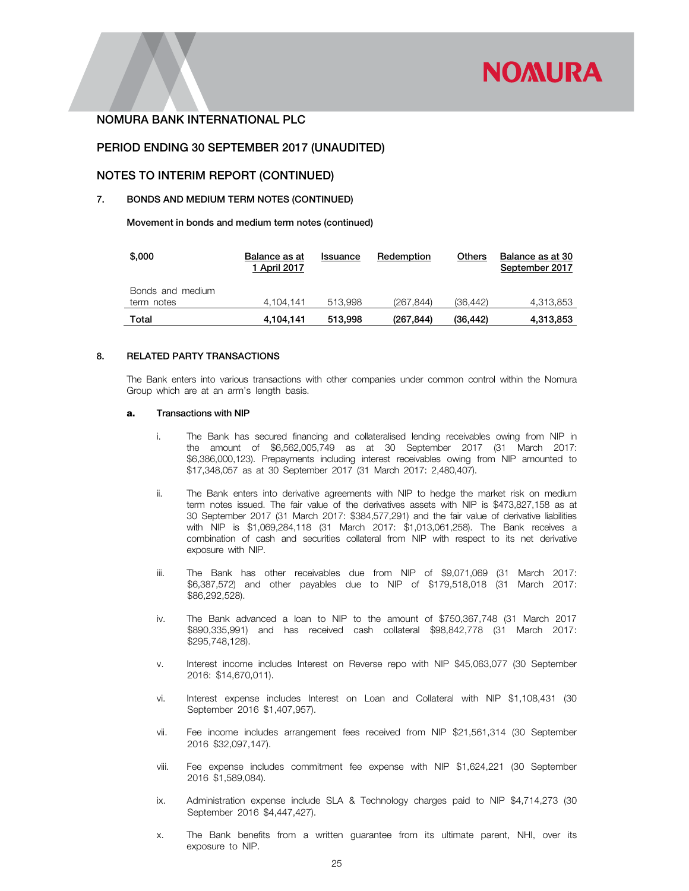## PERIOD ENDING 30 SEPTEMBER 2017 (UNAUDITED)

#### NOTES TO INTERIM REPORT (CONTINUED)

## 7. BONDS AND MEDIUM TERM NOTES (CONTINUED)

Movement in bonds and medium term notes (continued)

| \$,000           | Balance as at<br>1 April 2017 | Issuance | Redemption | Others    | Balance as at 30<br>September 2017 |
|------------------|-------------------------------|----------|------------|-----------|------------------------------------|
| Bonds and medium |                               |          |            |           |                                    |
| term notes       | 4.104.141                     | 513.998  | (267, 844) | (36.442)  | 4,313,853                          |
| Total            | 4.104.141                     | 513,998  | (267,844)  | (36, 442) | 4,313,853                          |

#### 8. RELATED PARTY TRANSACTIONS

The Bank enters into various transactions with other companies under common control within the Nomura Group which are at an arm's length basis.

#### a. Transactions with NIP

- i. The Bank has secured financing and collateralised lending receivables owing from NIP in the amount of \$6,562,005,749 as at 30 September 2017 (31 March 2017: \$6,386,000,123). Prepayments including interest receivables owing from NIP amounted to \$17,348,057 as at 30 September 2017 (31 March 2017: 2,480,407).
- ii. The Bank enters into derivative agreements with NIP to hedge the market risk on medium term notes issued. The fair value of the derivatives assets with NIP is \$473,827,158 as at 30 September 2017 (31 March 2017: \$384,577,291) and the fair value of derivative liabilities with NIP is \$1,069,284,118 (31 March 2017: \$1,013,061,258). The Bank receives a combination of cash and securities collateral from NIP with respect to its net derivative exposure with NIP.
- iii. The Bank has other receivables due from NIP of \$9,071,069 (31 March 2017: \$6,387,572) and other payables due to NIP of \$179,518,018 (31 March 2017: \$86,292,528).
- iv. The Bank advanced a loan to NIP to the amount of \$750,367,748 (31 March 2017 \$890,335,991) and has received cash collateral \$98,842,778 (31 March 2017: \$295,748,128).
- v. Interest income includes Interest on Reverse repo with NIP \$45,063,077 (30 September 2016: \$14,670,011).
- vi. Interest expense includes Interest on Loan and Collateral with NIP \$1,108,431 (30 September 2016 \$1,407,957).
- vii. Fee income includes arrangement fees received from NIP \$21,561,314 (30 September 2016 \$32,097,147).
- viii. Fee expense includes commitment fee expense with NIP \$1,624,221 (30 September 2016 \$1,589,084).
- ix. Administration expense include SLA & Technology charges paid to NIP \$4,714,273 (30 September 2016 \$4,447,427).
- x. The Bank benefits from a written guarantee from its ultimate parent, NHI, over its exposure to NIP.